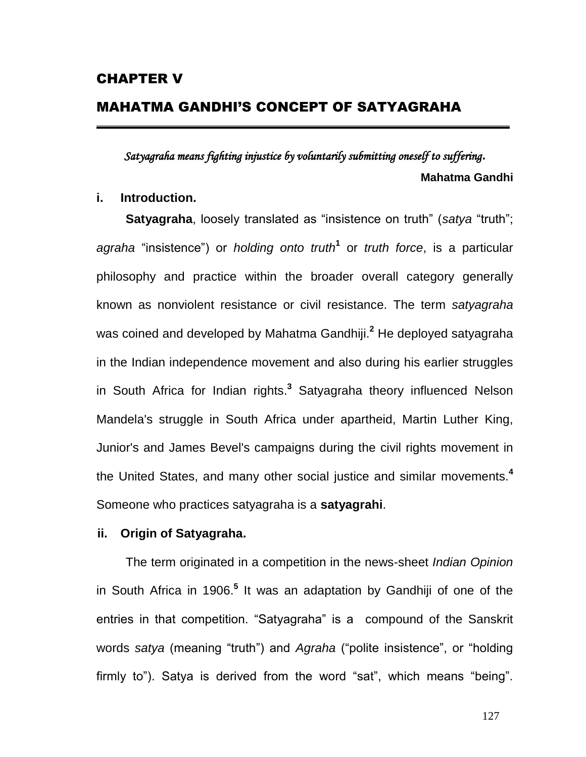# MAHATMA GANDHI'S CONCEPT OF SATYAGRAHA

*Satyagraha means fighting injustice by voluntarily submitting oneself to suffering***. Mahatma Gandhi**

# **i. Introduction.**

**Satyagraha**, loosely translated as "insistence on truth" (*satya* "truth"; *agraha* "insistence") or *holding onto truth***[1](http://en.wikipedia.org/wiki/Satyagraha#cite_note-1)** or *truth force*, is a particular philosophy and practice within the broader overall category generally known as [nonviolent resistance](http://en.wikipedia.org/wiki/Nonviolent_resistance) or civil [resistance.](http://en.wikipedia.org/wiki/Civil_resistance) The term *satyagraha* was coined and developed by [Mahatma Gandhiji.](http://en.wikipedia.org/wiki/Mohandas_Karamchand_Gandhi) **[2](http://en.wikipedia.org/wiki/Satyagraha#cite_note-Majmudar_p38-2)** He deployed satyagraha in the [Indian independence movement](http://en.wikipedia.org/wiki/Indian_independence_movement) and also during his earlier struggles in [South Africa](http://en.wikipedia.org/wiki/South_Africa) for Indian rights.**<sup>3</sup>** Satyagraha theory influenced [Nelson](http://en.wikipedia.org/wiki/Nelson_Mandela)  [Mandela'](http://en.wikipedia.org/wiki/Nelson_Mandela)s struggle in [South Africa under apartheid,](http://en.wikipedia.org/wiki/South_Africa_under_apartheid) [Martin Luther King,](http://en.wikipedia.org/wiki/Martin_Luther_King,_Jr.)  [Junior'](http://en.wikipedia.org/wiki/Martin_Luther_King,_Jr.)s and [James Bevel'](http://en.wikipedia.org/wiki/James_Bevel)s campaigns during the [civil rights movement](http://en.wikipedia.org/wiki/Civil_rights_movement) in the United States, and many other social justice and similar movements.**[4](http://en.wikipedia.org/wiki/Satyagraha#cite_note-4)** Someone who practices satyagraha is a **satyagrahi**.

# **ii. Origin of Satyagraha.**

The term originated in a competition in the news-sheet *[Indian Opinion](http://en.wikipedia.org/wiki/Indian_Opinion)* in [South Africa](http://en.wikipedia.org/wiki/South_Africa) in 1906.**[5](http://en.wikipedia.org/wiki/Satyagraha#cite_note-Majmudar_p38-2)** It was an adaptation by Gandhiji of one of the entries in that competition. "Satyagraha" is a [compound](http://en.wikipedia.org/wiki/Tatpuru%E1%B9%A3a) of the Sanskrit words *[satya](http://en.wikipedia.org/wiki/Satya)* (meaning "truth") and *Agraha* ("polite insistence", or "holding firmly to"). Satya is derived from the word "sat", which means "being".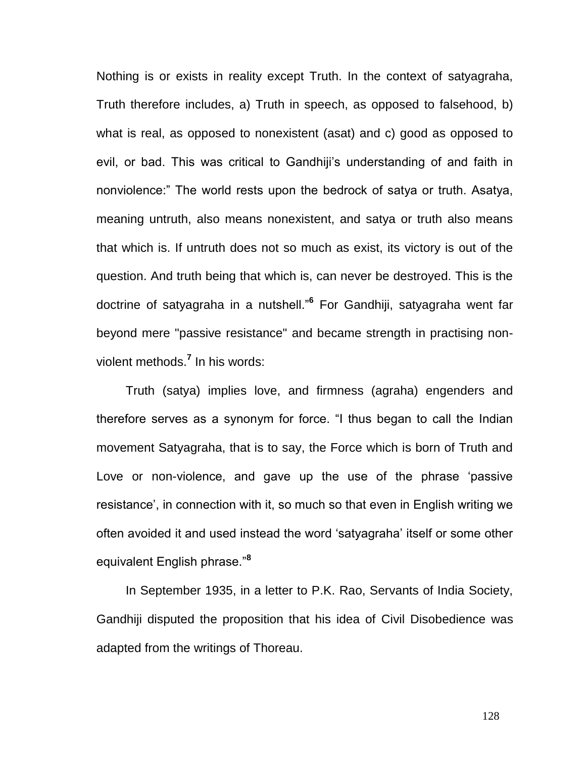Nothing is or exists in reality except Truth. In the context of satyagraha, Truth therefore includes, a) Truth in speech, as opposed to falsehood, b) what is real, as opposed to nonexistent (asat) and c) good as opposed to evil, or bad. This was critical to Gandhiji"s understanding of and faith in nonviolence:" The world rests upon the bedrock of satya or truth. Asatya, meaning untruth, also means nonexistent, and satya or truth also means that which is. If untruth does not so much as exist, its victory is out of the question. And truth being that which is, can never be destroyed. This is the doctrine of satyagraha in a nutshell."**[6](http://en.wikipedia.org/wiki/Satyagraha#cite_note-5)** For Gandhiji, satyagraha went far beyond mere "passive resistance" and became strength in practising nonviolent methods.**[7](http://en.wikipedia.org/wiki/Satyagraha#cite_note-6)** In his words:

Truth (satya) implies love, and firmness (agraha) engenders and therefore serves as a synonym for force. "I thus began to call the Indian movement Satyagraha, that is to say, the Force which is born of Truth and Love or non-violence, and gave up the use of the phrase "passive resistance', in connection with it, so much so that even in English writing we often avoided it and used instead the word "satyagraha" itself or some other equivalent English phrase."**[8](http://en.wikipedia.org/wiki/Satyagraha#cite_note-7)**

In September 1935, in a letter to P.K. Rao, Servants of India Society, Gandhiji disputed the proposition that his idea of [Civil Disobedience](http://en.wikipedia.org/wiki/Civil_Disobedience) was adapted from the writings of Thoreau.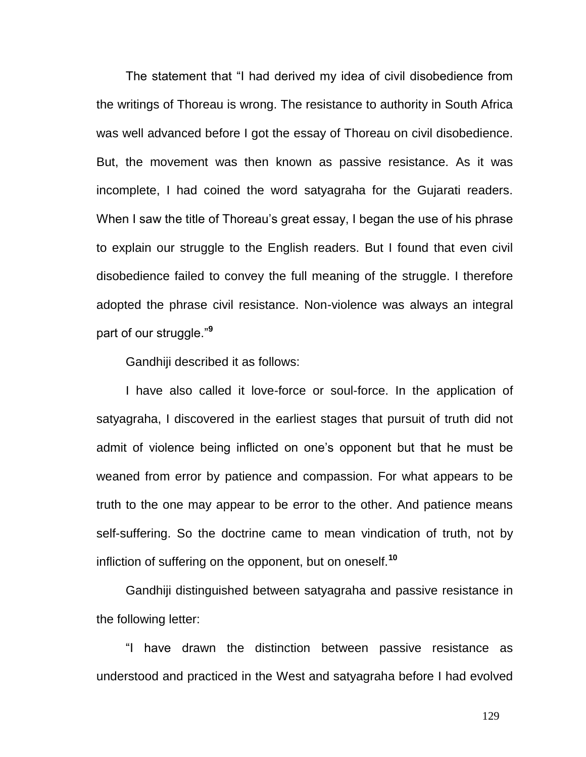The statement that "I had derived my idea of civil disobedience from the writings of Thoreau is wrong. The resistance to authority in South Africa was well advanced before I got the essay of Thoreau on civil disobedience. But, the movement was then known as passive resistance. As it was incomplete, I had coined the word satyagraha for the Gujarati readers. When I saw the title of Thoreau's great essay, I began the use of his phrase to explain our struggle to the English readers. But I found that even civil disobedience failed to convey the full meaning of the struggle. I therefore adopted the phrase civil resistance. Non-violence was always an integral part of our struggle."**[9](http://en.wikipedia.org/wiki/Satyagraha#cite_note-8)**

Gandhiji described it as follows:

I have also called it love-force or soul-force. In the application of satyagraha, I discovered in the earliest stages that pursuit of truth did not admit of violence being inflicted on one"s opponent but that he must be weaned from error by patience and compassion. For what appears to be truth to the one may appear to be error to the other. And patience means self-suffering. So the doctrine came to mean vindication of truth, not by infliction of suffering on the opponent, but on oneself.**[10](http://en.wikipedia.org/wiki/Satyagraha#cite_note-9)**

Gandhiji distinguished between satyagraha and passive resistance in the following letter:

"I have drawn the distinction between passive resistance as understood and practiced in the West and satyagraha before I had evolved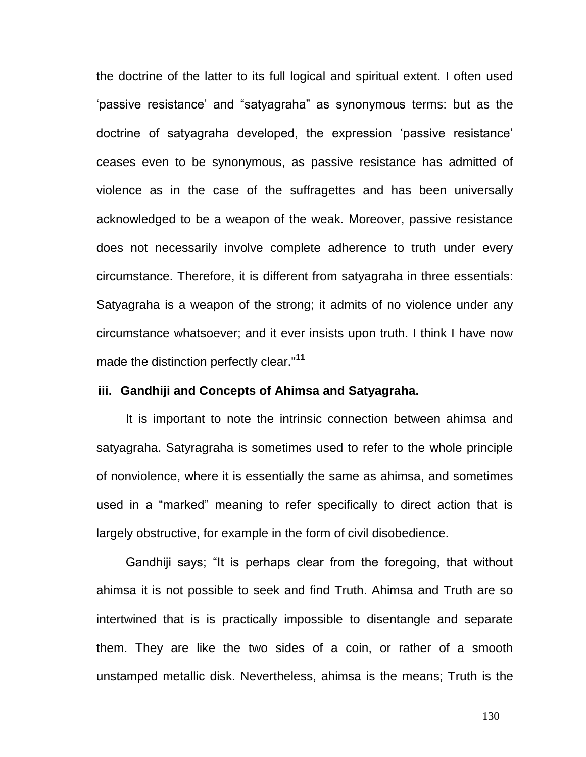the doctrine of the latter to its full logical and spiritual extent. I often used "passive resistance" and "satyagraha" as synonymous terms: but as the doctrine of satyagraha developed, the expression "passive resistance" ceases even to be synonymous, as passive resistance has admitted of violence as in the case of the [suffragettes](http://en.wikipedia.org/wiki/Suffragette) and has been universally acknowledged to be a weapon of the weak. Moreover, passive resistance does not necessarily involve complete adherence to truth under every circumstance. Therefore, it is different from satyagraha in three essentials: Satyagraha is a weapon of the strong; it admits of no violence under any circumstance whatsoever; and it ever insists upon truth. I think I have now made the distinction perfectly clear."**[11](http://en.wikipedia.org/wiki/Satyagraha#cite_note-10)**

## **iii. Gandhiji and Concepts of Ahimsa and Satyagraha.**

It is important to note the intrinsic connection between ahimsa and satyagraha. Satyragraha is sometimes used to refer to the whole principle of nonviolence, where it is essentially the same as ahimsa, and sometimes used in a "marked" meaning to refer specifically to direct action that is largely obstructive, for example in the form of civil disobedience.

Gandhiji says; "It is perhaps clear from the foregoing, that without ahimsa it is not possible to seek and find Truth. Ahimsa and Truth are so intertwined that is is practically impossible to disentangle and separate them. They are like the two sides of a coin, or rather of a smooth unstamped metallic disk. Nevertheless, ahimsa is the means; Truth is the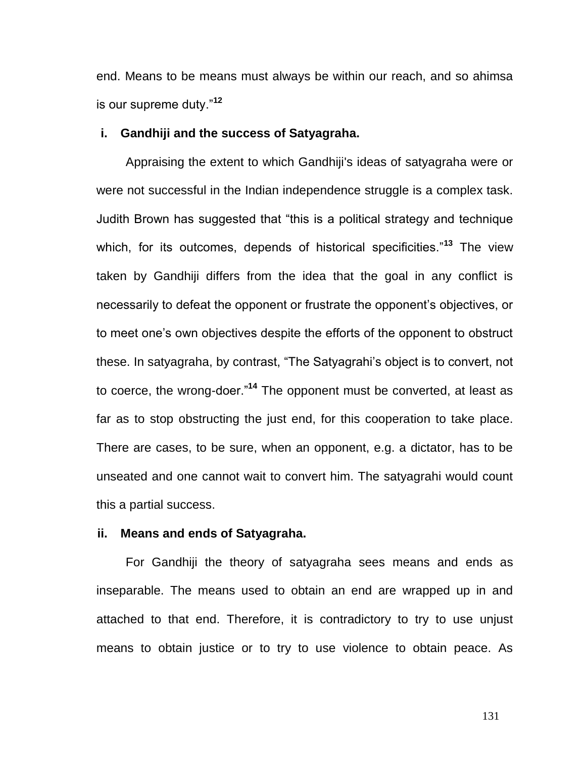end. Means to be means must always be within our reach, and so ahimsa is our supreme duty."**[12](http://en.wikipedia.org/wiki/Satyagraha#cite_note-11)**

# **i. Gandhiji and the success of Satyagraha.**

Appraising the extent to which Gandhiji's ideas of satyagraha were or were not successful in the Indian independence struggle is a complex task. Judith Brown has suggested that "this is a political strategy and technique which, for its outcomes, depends of historical specificities."**<sup>13</sup>** The view taken by Gandhiji differs from the idea that the goal in any conflict is necessarily to defeat the opponent or frustrate the opponent"s objectives, or to meet one"s own objectives despite the efforts of the opponent to obstruct these. In satyagraha, by contrast, "The Satyagrahi"s object is to convert, not to coerce, the wrong-doer."**[14](http://en.wikipedia.org/wiki/Satyagraha#cite_note-13)** The opponent must be converted, at least as far as to stop obstructing the just end, for this cooperation to take place. There are cases, to be sure, when an opponent, e.g. a dictator, has to be unseated and one cannot wait to convert him. The satyagrahi would count this a partial success.

## **ii. Means and ends of Satyagraha.**

For Gandhiji the theory of satyagraha sees means and ends as inseparable. The means used to obtain an end are wrapped up in and attached to that end. Therefore, it is contradictory to try to use unjust means to obtain justice or to try to use violence to obtain peace. As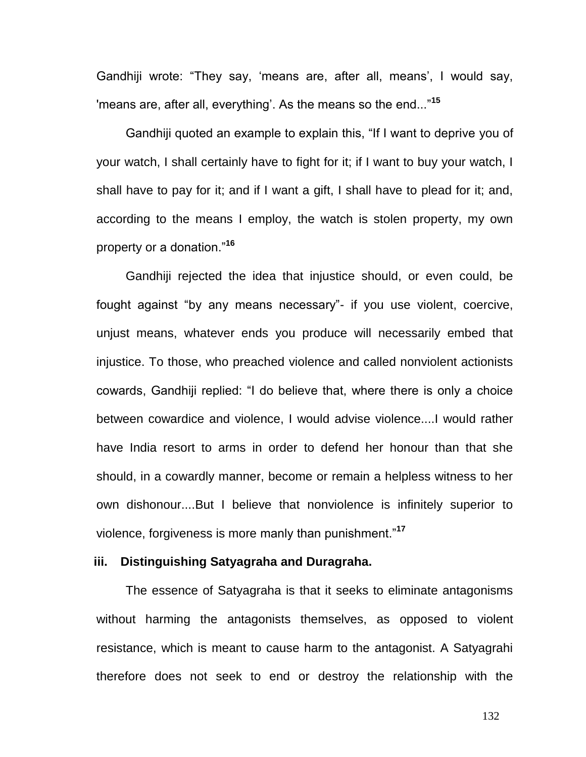Gandhiji wrote: "They say, 'means are, after all, means', I would say, 'means are, after all, everything". As the means so the end..."**[15](http://en.wikipedia.org/wiki/Satyagraha#cite_note-14)**

Gandhiji quoted an example to explain this, "If I want to deprive you of your watch, I shall certainly have to fight for it; if I want to buy your watch, I shall have to pay for it; and if I want a gift, I shall have to plead for it; and, according to the means I employ, the watch is stolen property, my own property or a donation."**[16](http://en.wikipedia.org/wiki/Satyagraha#cite_note-15)**

Gandhiji rejected the idea that injustice should, or even could, be fought against "by any means necessary"- if you use violent, coercive, unjust means, whatever ends you produce will necessarily embed that injustice. To those, who preached violence and called nonviolent actionists cowards, Gandhiji replied: "I do believe that, where there is only a choice between cowardice and violence, I would advise violence....I would rather have India resort to arms in order to defend her honour than that she should, in a cowardly manner, become or remain a helpless witness to her own dishonour....But I believe that nonviolence is infinitely superior to violence, forgiveness is more manly than punishment."**[17](http://en.wikipedia.org/wiki/Satyagraha#cite_note-16)**

# **iii. Distinguishing Satyagraha and Duragraha.**

The essence of Satyagraha is that it seeks to eliminate antagonisms without harming the antagonists themselves, as opposed to violent resistance, which is meant to cause harm to the antagonist. A Satyagrahi therefore does not seek to end or destroy the relationship with the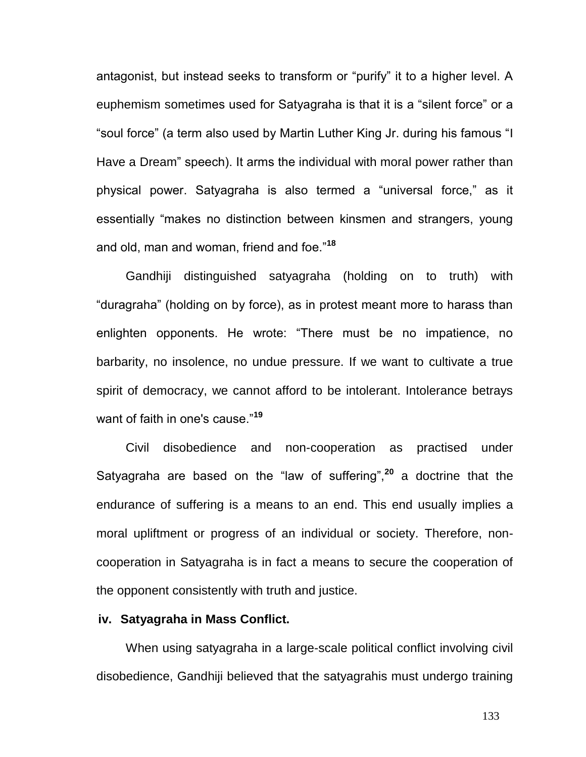antagonist, but instead seeks to transform or "purify" it to a higher level. A euphemism sometimes used for Satyagraha is that it is a "silent force" or a "soul force" (a term also used by Martin Luther King Jr. during his famous ["I](http://en.wikipedia.org/wiki/I_Have_a_Dream)  [Have a Dream"](http://en.wikipedia.org/wiki/I_Have_a_Dream) speech). It arms the individual with moral power rather than physical power. Satyagraha is also termed a "universal force," as it essentially "makes no distinction between kinsmen and strangers, young and old, man and woman, friend and foe."**[18](http://en.wikipedia.org/wiki/Satyagraha#cite_note-rules-17)**

Gandhiji distinguished satyagraha (holding on to truth) with "duragraha" (holding on by force), as in protest meant more to harass than enlighten opponents. He wrote: "There must be no impatience, no barbarity, no insolence, no undue pressure. If we want to cultivate a true spirit of democracy, we cannot afford to be intolerant. Intolerance betrays want of faith in one's cause."**[19](http://en.wikipedia.org/wiki/Satyagraha#cite_note-18)**

Civil disobedience and non-cooperation as practised under Satyagraha are based on the "law of suffering",**[20](http://en.wikipedia.org/wiki/Satyagraha#cite_note-19)** a doctrine that the endurance of suffering is a means to an end. This end usually implies a moral upliftment or progress of an individual or society. Therefore, noncooperation in Satyagraha is in fact a means to secure the cooperation of the opponent consistently with truth and justice.

# **iv. Satyagraha in Mass Conflict.**

When using satyagraha in a large-scale political conflict involving civil disobedience, Gandhiji believed that the satyagrahis must undergo training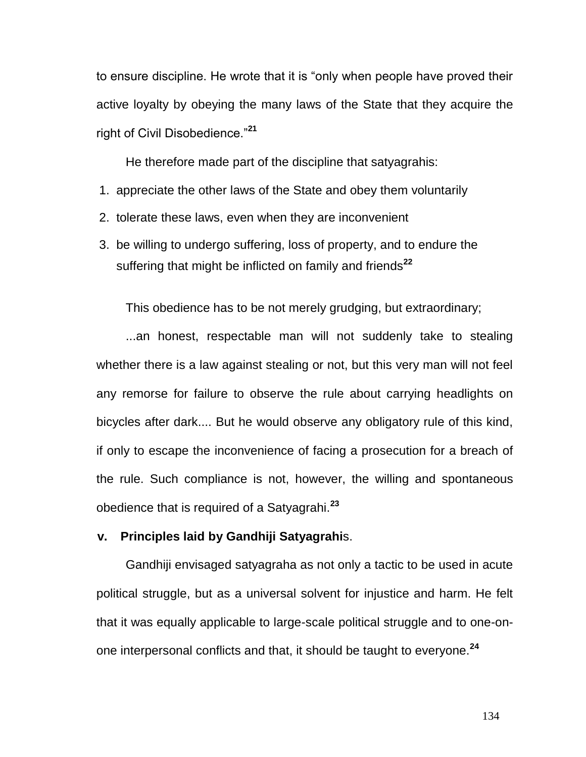to ensure discipline. He wrote that it is "only when people have proved their active loyalty by obeying the many laws of the State that they acquire the right of Civil Disobedience."**[21](http://en.wikipedia.org/wiki/Satyagraha#cite_note-prereq-20)**

He therefore made part of the discipline that satyagrahis:

- 1. appreciate the other laws of the State and obey them voluntarily
- 2. tolerate these laws, even when they are inconvenient
- 3. be willing to undergo suffering, loss of property, and to endure the suffering that might be inflicted on family and friends**[22](http://en.wikipedia.org/wiki/Satyagraha#cite_note-prereq-20)**

This obedience has to be not merely grudging, but extraordinary;

...an honest, respectable man will not suddenly take to stealing whether there is a law against stealing or not, but this very man will not feel any remorse for failure to observe the rule about carrying headlights on bicycles after dark.... But he would observe any obligatory rule of this kind, if only to escape the inconvenience of facing a prosecution for a breach of the rule. Such compliance is not, however, the willing and spontaneous obedience that is required of a Satyagrahi.**[23](http://en.wikipedia.org/wiki/Satyagraha#cite_note-21)**

# **v. Principles laid by Gandhiji Satyagrahi**s.

Gandhiji envisaged satyagraha as not only a tactic to be used in acute political struggle, but as a universal solvent for injustice and harm. He felt that it was equally applicable to large-scale political struggle and to one-onone interpersonal conflicts and that, it should be taught to everyone.**[24](http://en.wikipedia.org/wiki/Satyagraha#cite_note-22)**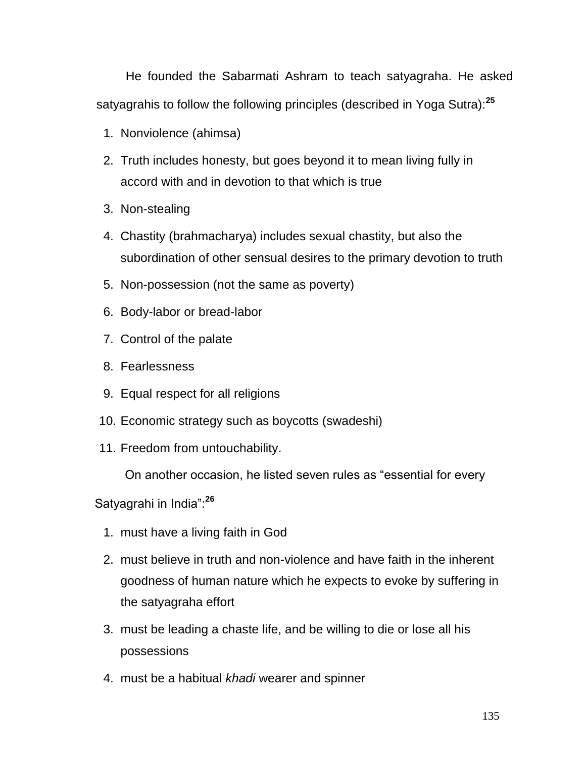He founded the [Sabarmati Ashram](http://en.wikipedia.org/wiki/Sabarmati_Ashram) to teach satyagraha. He asked satyagrahis to follow the following principles (described in Yoga Sutra):**[25](http://en.wikipedia.org/wiki/Satyagraha#cite_note-23)**

- 1. Nonviolence [\(ahimsa\)](http://en.wikipedia.org/wiki/Ahimsa)
- 2. Truth includes honesty, but goes beyond it to mean living fully in accord with and in devotion to that which is true
- 3. Non-stealing
- 4. Chastity [\(brahmacharya\)](http://en.wikipedia.org/wiki/Brahmacharya) includes sexual chastity, but also the subordination of other sensual desires to the primary devotion to truth
- 5. [Non-possession](http://en.wikipedia.org/wiki/Non-possession) (not the same as poverty)
- 6. Body-labor or bread-labor
- 7. Control of the palate
- 8. Fearlessness
- 9. Equal respect for all religions
- 10. Economic strategy such as boycotts [\(swadeshi\)](http://en.wikipedia.org/wiki/Swadeshi)
- 11. Freedom from [untouchability.](http://en.wikipedia.org/wiki/Dalit)

On another occasion, he listed seven rules as "essential for every

Satyagrahi in India":**[26](http://en.wikipedia.org/wiki/Satyagraha#cite_note-qualifications-24)**

- 1. must have a living faith in God
- 2. must believe in truth and non-violence and have faith in the inherent goodness of human nature which he expects to evoke by suffering in the satyagraha effort
- 3. must be leading a chaste life, and be willing to die or lose all his possessions
- 4. must be a habitual *[khadi](http://en.wikipedia.org/wiki/Khadi)* wearer and spinner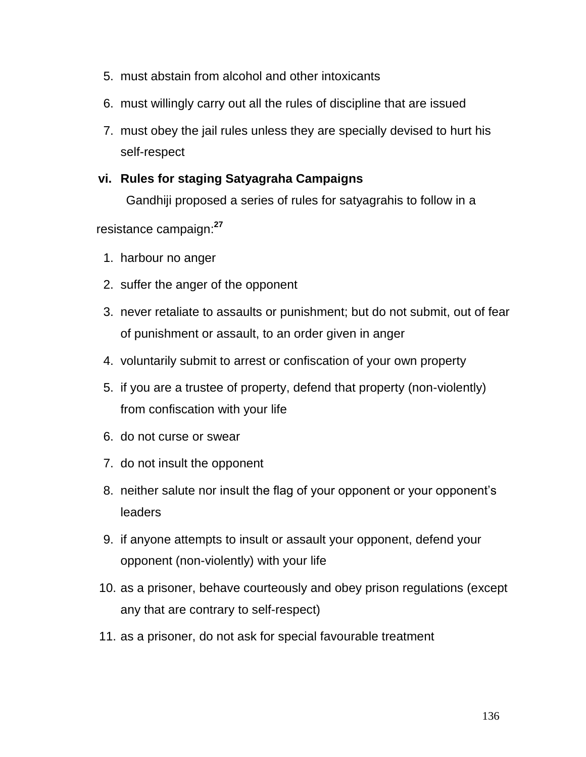- 5. must abstain from alcohol and other intoxicants
- 6. must willingly carry out all the rules of discipline that are issued
- 7. must obey the jail rules unless they are specially devised to hurt his self-respect

# **vi. Rules for staging Satyagraha Campaigns**

Gandhiji proposed a series of rules for satyagrahis to follow in a

resistance campaign:**[27](http://en.wikipedia.org/wiki/Satyagraha#cite_note-rules-17)**

- 1. harbour no anger
- 2. suffer the anger of the opponent
- 3. never retaliate to assaults or punishment; but do not submit, out of fear of punishment or assault, to an order given in anger
- 4. voluntarily submit to arrest or confiscation of your own property
- 5. if you are a trustee of property, defend that property (non-violently) from confiscation with your life
- 6. do not curse or swear
- 7. do not insult the opponent
- 8. neither salute nor insult the flag of your opponent or your opponent"s leaders
- 9. if anyone attempts to insult or assault your opponent, defend your opponent (non-violently) with your life
- 10. as a prisoner, behave courteously and obey prison regulations (except any that are contrary to self-respect)
- 11. as a prisoner, do not ask for special favourable treatment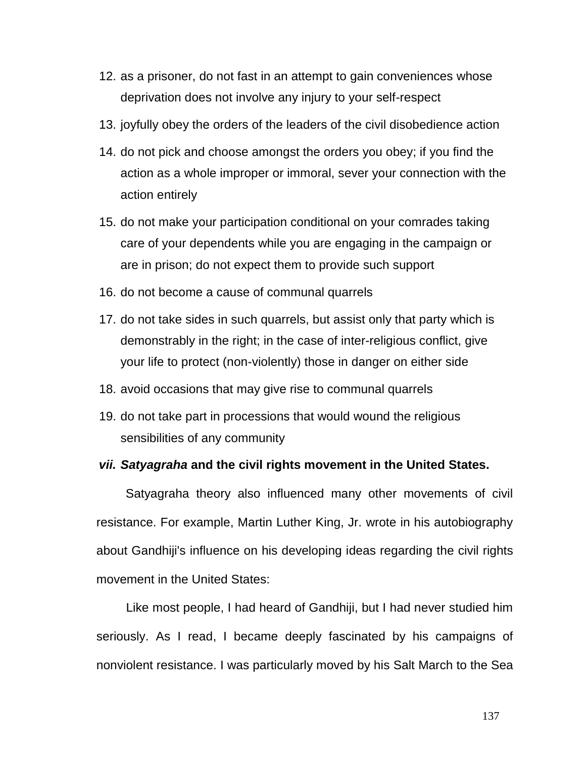- 12. as a prisoner, do not fast in an attempt to gain conveniences whose deprivation does not involve any injury to your self-respect
- 13. joyfully obey the orders of the leaders of the civil disobedience action
- 14. do not pick and choose amongst the orders you obey; if you find the action as a whole improper or immoral, sever your connection with the action entirely
- 15. do not make your participation conditional on your comrades taking care of your dependents while you are engaging in the campaign or are in prison; do not expect them to provide such support
- 16. do not become a cause of communal quarrels
- 17. do not take sides in such quarrels, but assist only that party which is demonstrably in the right; in the case of inter-religious conflict, give your life to protect (non-violently) those in danger on either side
- 18. avoid occasions that may give rise to communal quarrels
- 19. do not take part in processions that would wound the religious sensibilities of any community

# *vii. Satyagraha* **and the civil rights movement in the United States.**

Satyagraha theory also influenced many other movements of civil resistance. For example, Martin Luther King, Jr. wrote in his autobiography about Gandhiji's influence on his developing ideas regarding the civil rights movement in the United States:

Like most people, I had heard of Gandhiji, but I had never studied him seriously. As I read, I became deeply fascinated by his campaigns of nonviolent resistance. I was particularly moved by his [Salt March](http://en.wikipedia.org/wiki/Salt_March) to the Sea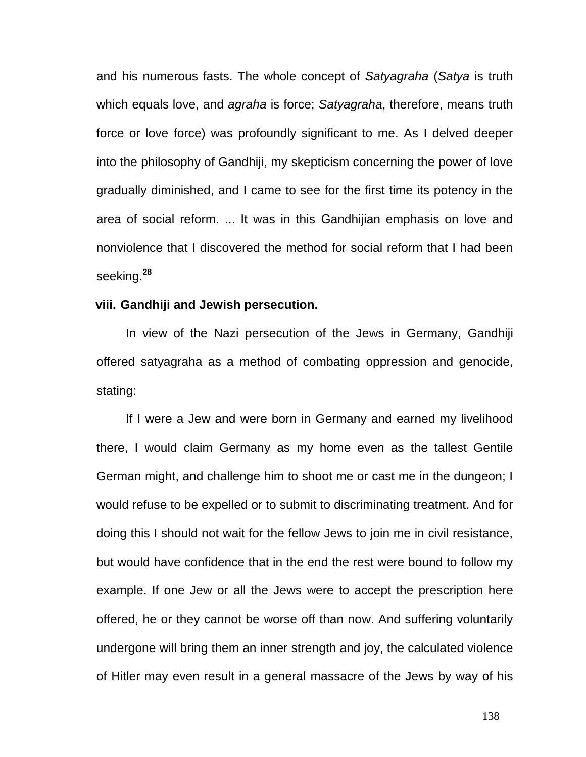and his numerous fasts. The whole concept of *Satyagraha* (*Satya* is truth which equals love, and *agraha* is force; *Satyagraha*, therefore, means truth force or love force) was profoundly significant to me. As I delved deeper into the philosophy of Gandhiji, my skepticism concerning the power of love gradually diminished, and I came to see for the first time its potency in the area of social reform. ... It was in this Gandhijian emphasis on love and nonviolence that I discovered the method for social reform that I had been seeking.**[28](http://en.wikipedia.org/wiki/Satyagraha#cite_note-25)**

#### **viii. Gandhiji and Jewish persecution.**

In view of the [Nazi persecution of the Jews in Germany,](http://en.wikipedia.org/wiki/History_of_the_Jews_in_Germany#Jews_under_the_Nazis_.281930s-1940.29) Gandhiji offered satyagraha as a method of combating oppression and genocide, stating:

If I were a Jew and were born in Germany and earned my livelihood there, I would claim Germany as my home even as the tallest Gentile German might, and challenge him to shoot me or cast me in the dungeon; I would refuse to be expelled or to submit to discriminating treatment. And for doing this I should not wait for the fellow Jews to join me in civil resistance, but would have confidence that in the end the rest were bound to follow my example. If one Jew or all the Jews were to accept the prescription here offered, he or they cannot be worse off than now. And suffering voluntarily undergone will bring them an inner strength and joy, the calculated violence of [Hitler](http://en.wikipedia.org/wiki/Hitler) may even result in a general massacre of the Jews by way of his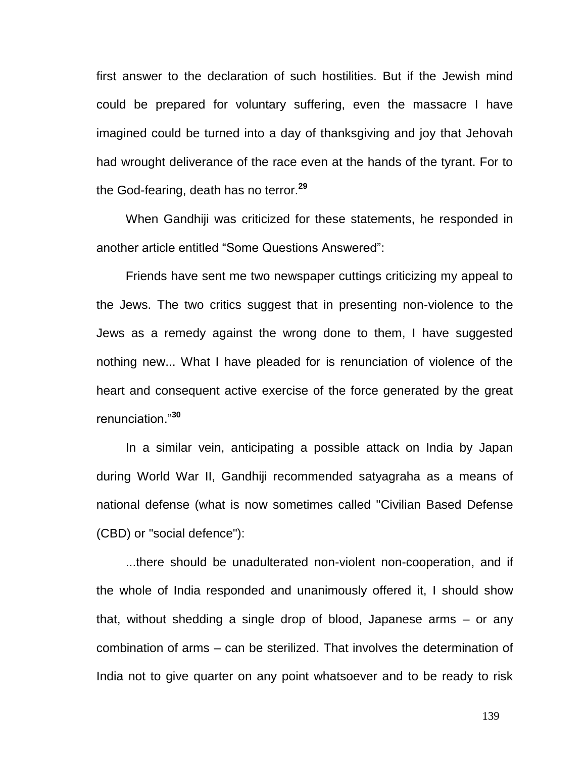first answer to the declaration of such hostilities. But if the Jewish mind could be prepared for voluntary suffering, even the massacre I have imagined could be turned into a day of thanksgiving and joy that Jehovah had wrought deliverance of the race even at the hands of the tyrant. For to the God-fearing, death has no terror.**[29](http://en.wikipedia.org/wiki/Satyagraha#cite_note-26)**

When Gandhiji was criticized for these statements, he responded in another article entitled "Some Questions Answered":

Friends have sent me two newspaper cuttings criticizing my appeal to the Jews. The two critics suggest that in presenting non-violence to the Jews as a remedy against the wrong done to them, I have suggested nothing new... What I have pleaded for is renunciation of violence of the heart and consequent active exercise of the force generated by the great renunciation."**[30](http://en.wikipedia.org/wiki/Satyagraha#cite_note-27)**

In a similar vein, anticipating a possible attack on India by Japan during [World War II,](http://en.wikipedia.org/wiki/World_War_II) Gandhiji recommended satyagraha as a means of national defense (what is now sometimes called "Civilian Based Defense (CBD) or ["social defence"](http://en.wikipedia.org/wiki/Social_defence)):

...there should be unadulterated non-violent non-cooperation, and if the whole of India responded and unanimously offered it, I should show that, without shedding a single drop of blood, Japanese arms – or any combination of arms – can be sterilized. That involves the determination of India not to give quarter on any point whatsoever and to be ready to risk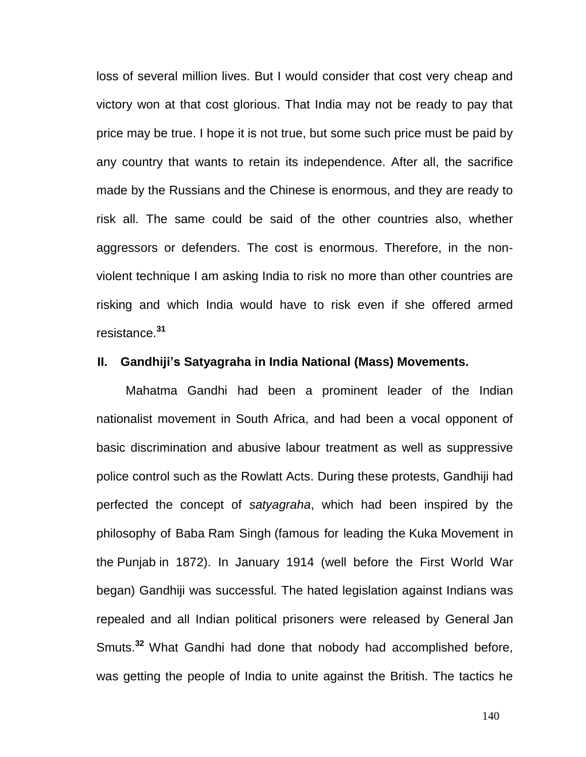loss of several million lives. But I would consider that cost very cheap and victory won at that cost glorious. That India may not be ready to pay that price may be true. I hope it is not true, but some such price must be paid by any country that wants to retain its independence. After all, the sacrifice made by the Russians and the Chinese is enormous, and they are ready to risk all. The same could be said of the other countries also, whether aggressors or defenders. The cost is enormous. Therefore, in the nonviolent technique I am asking India to risk no more than other countries are risking and which India would have to risk even if she offered armed resistance.**[31](http://en.wikipedia.org/wiki/Satyagraha#cite_note-28)**

## **II. Gandhiji's Satyagraha in India National (Mass) Movements.**

[Mahatma Gandhi](http://en.wikipedia.org/wiki/Mahatma_Gandhi) had been a prominent leader of the Indian nationalist movement in South Africa, and had been a vocal opponent of basic discrimination and abusive labour treatment as well as suppressive police control such as the [Rowlatt Acts.](http://en.wikipedia.org/wiki/Rowlatt_Acts) During these protests, Gandhiji had perfected the concept of *[satyagraha](http://en.wikipedia.org/wiki/Satyagraha)*, which had been inspired by the philosophy of Baba [Ram Singh](http://en.wikipedia.org/wiki/Ram_Singh) (famous for leading the [Kuka](http://en.wikipedia.org/wiki/Namdhari) Movement in the [Punjab](http://en.wikipedia.org/wiki/Punjab_region) in 1872). In January 1914 (well before the First World War began) Gandhiji was successful. The hated legislation against Indians was repealed and all Indian political prisoners were released by General [Jan](http://en.wikipedia.org/wiki/Jan_Smuts)  [Smuts.](http://en.wikipedia.org/wiki/Jan_Smuts) **[32](http://en.wikipedia.org/wiki/Indian_independence_movement#cite_note-32)** What Gandhi had done that nobody had accomplished before, was getting the people of India to unite against the British. The tactics he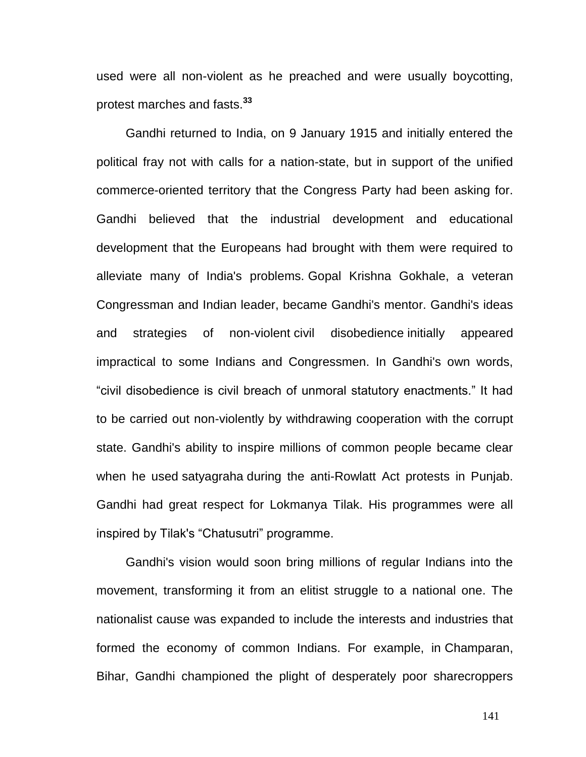used were all non-violent as he preached and were usually boycotting, protest marches and fasts.**[33](http://en.wikipedia.org/wiki/Indian_independence_movement#cite_note-33)**

Gandhi returned to India, on 9 January 1915 and initially entered the political fray not with calls for a nation-state, but in support of the unified commerce-oriented territory that the Congress Party had been asking for. Gandhi believed that the industrial development and educational development that the Europeans had brought with them were required to alleviate many of India's problems. [Gopal Krishna Gokhale,](http://en.wikipedia.org/wiki/Gopal_Krishna_Gokhale) a veteran Congressman and Indian leader, became Gandhi's mentor. Gandhi's ideas and strategies of non-violent [civil disobedience](http://en.wikipedia.org/wiki/Civil_disobedience) initially appeared impractical to some Indians and Congressmen. In Gandhi's own words, "civil disobedience is civil breach of unmoral statutory enactments." It had to be carried out non-violently by withdrawing cooperation with the corrupt state. Gandhi's ability to inspire millions of common people became clear when he used [satyagraha](http://en.wikipedia.org/wiki/Satyagraha) during the anti-Rowlatt Act protests in Punjab. Gandhi had great respect for Lokmanya Tilak. His programmes were all inspired by Tilak's "Chatusutri" programme.

Gandhi's vision would soon bring millions of regular Indians into the movement, transforming it from an elitist struggle to a national one. The nationalist cause was expanded to include the interests and industries that formed the economy of common Indians. For example, in [Champaran,](http://en.wikipedia.org/wiki/Champaran) Bihar, Gandhi championed the plight of desperately poor sharecroppers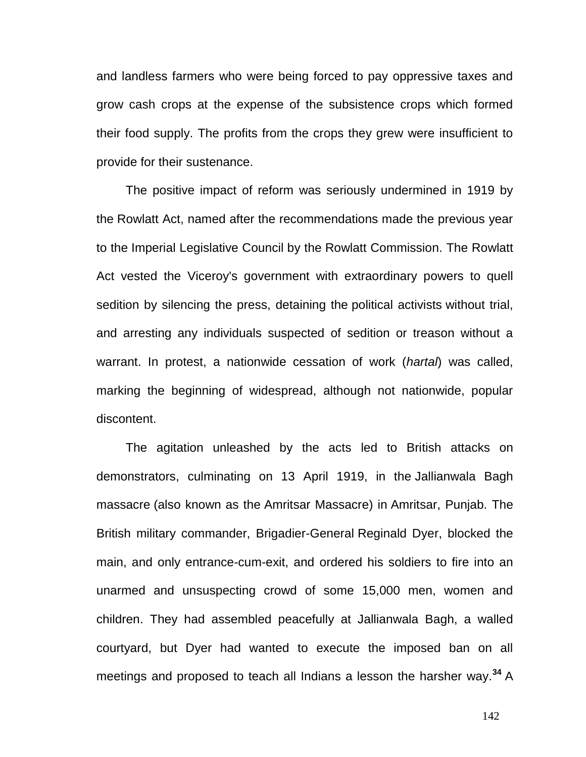and landless farmers who were being forced to pay oppressive taxes and grow cash crops at the expense of the subsistence crops which formed their food supply. The profits from the crops they grew were insufficient to provide for their sustenance.

The positive impact of reform was seriously undermined in 1919 by the [Rowlatt Act,](http://en.wikipedia.org/wiki/Rowlatt_Act) named after the recommendations made the previous year to the [Imperial Legislative Council](http://en.wikipedia.org/wiki/Imperial_Legislative_Council) by the [Rowlatt Commission.](http://en.wikipedia.org/wiki/Rowlatt_Commission) The Rowlatt Act vested the Viceroy's government with extraordinary powers to quell sedition by silencing the press, detaining the [political activists](http://en.wikipedia.org/wiki/Activism) without trial, and arresting any individuals suspected of sedition or treason without a warrant. In protest, a nationwide cessation of work (*[hartal](http://en.wikipedia.org/wiki/Hartal)*) was called, marking the beginning of widespread, although not nationwide, popular discontent.

The agitation unleashed by the acts led to British attacks on demonstrators, culminating on 13 April 1919, in the [Jallianwala Bagh](http://en.wikipedia.org/wiki/Jallianwala_Bagh_massacre)  [massacre](http://en.wikipedia.org/wiki/Jallianwala_Bagh_massacre) (also known as the [Amritsar Massacre\)](http://en.wikipedia.org/wiki/Amritsar_Massacre) in [Amritsar,](http://en.wikipedia.org/wiki/Amritsar) Punjab. The British military commander, Brigadier-General [Reginald Dyer,](http://en.wikipedia.org/wiki/Reginald_Dyer) blocked the main, and only entrance-cum-exit, and ordered his soldiers to fire into an unarmed and unsuspecting crowd of some 15,000 men, women and children. They had assembled peacefully at Jallianwala Bagh, a walled courtyard, but Dyer had wanted to execute the imposed ban on all meetings and proposed to teach all Indians a lesson the harsher way.**[34](http://en.wikipedia.org/wiki/Indian_independence_movement#cite_note-34)** A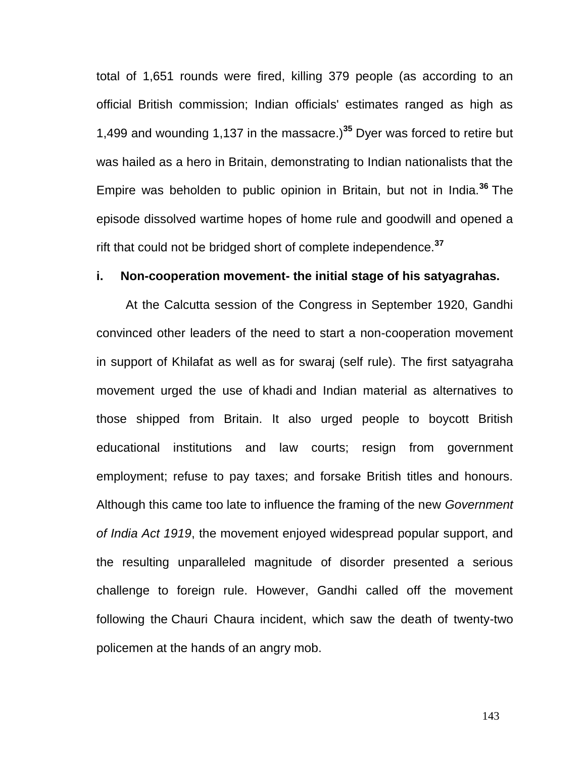total of 1,651 rounds were fired, killing 379 people (as according to an official British commission; Indian officials' estimates ranged as high as 1,499 and wounding 1,137 in the massacre.)**[35](http://en.wikipedia.org/wiki/Indian_independence_movement#cite_note-35)** Dyer was forced to retire but was hailed as a hero in Britain, demonstrating to Indian nationalists that the Empire was beholden to public opinion in Britain, but not in India.**[36](http://en.wikipedia.org/wiki/Indian_independence_movement#cite_note-36)** The episode dissolved wartime hopes of home rule and goodwill and opened a rift that could not be bridged short of complete independence.**[37](http://en.wikipedia.org/wiki/Indian_independence_movement#cite_note-37)**

# **i. Non-cooperation movement- the initial stage of his satyagrahas.**

At the Calcutta session of the Congress in September 1920, Gandhi convinced other leaders of the need to start a non-cooperation movement in support of Khilafat as well as for swaraj (self rule). The first satyagraha movement urged the use of [khadi](http://en.wikipedia.org/wiki/Khadi) and Indian material as alternatives to those shipped from Britain. It also urged people to boycott British educational institutions and law courts; resign from government employment; refuse to pay taxes; and forsake British titles and honours. Although this came too late to influence the framing of the new *[Government](http://en.wikipedia.org/wiki/Government_of_India_Act_1919)  [of India Act 1919](http://en.wikipedia.org/wiki/Government_of_India_Act_1919)*, the movement enjoyed widespread popular support, and the resulting unparalleled magnitude of disorder presented a serious challenge to foreign rule. However, Gandhi called off the movement following the [Chauri Chaura incident,](http://en.wikipedia.org/wiki/Chauri_Chaura_incident) which saw the death of twenty-two policemen at the hands of an angry mob.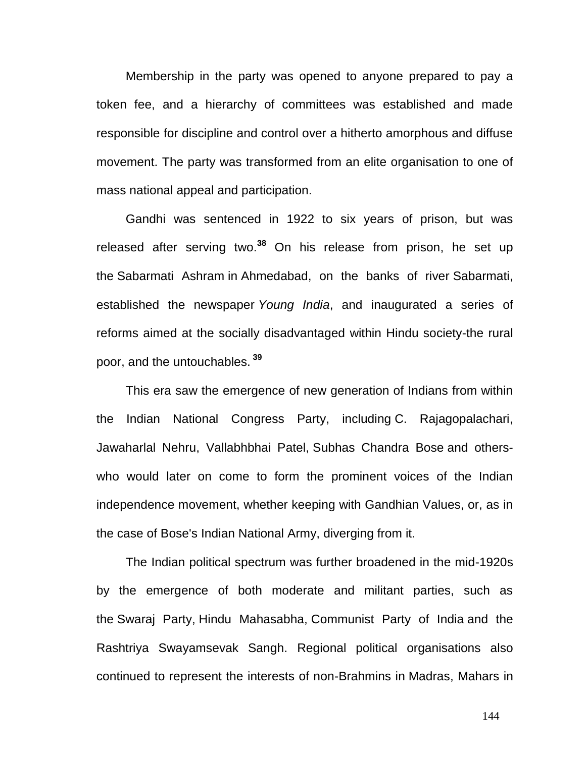Membership in the party was opened to anyone prepared to pay a token fee, and a hierarchy of committees was established and made responsible for discipline and control over a hitherto amorphous and diffuse movement. The party was transformed from an elite organisation to one of mass national appeal and participation.

Gandhi was sentenced in 1922 to six years of prison, but was released after serving two.**<sup>38</sup>** On his release from prison, he set up the [Sabarmati Ashram](http://en.wikipedia.org/wiki/Sabarmati_Ashram) in [Ahmedabad,](http://en.wikipedia.org/wiki/Ahmedabad) on the banks of river [Sabarmati,](http://en.wikipedia.org/wiki/Sabarmati_River) established the newspaper *Young India*, and inaugurated a series of reforms aimed at the socially disadvantaged within Hindu society-the rural poor, and the [untouchables.](http://en.wikipedia.org/wiki/Dalit_(outcaste)) **[39](http://en.wikipedia.org/wiki/Indian_independence_movement#cite_note-39)**

This era saw the emergence of new generation of Indians from within the Indian National Congress Party, including [C. Rajagopalachari,](http://en.wikipedia.org/wiki/C._Rajagopalachari) [Jawaharlal Nehru,](http://en.wikipedia.org/wiki/Jawaharlal_Nehru) [Vallabhbhai Patel,](http://en.wikipedia.org/wiki/Vallabhbhai_Patel) [Subhas Chandra Bose](http://en.wikipedia.org/wiki/Subhas_Chandra_Bose) and otherswho would later on come to form the prominent voices of the Indian independence movement, whether keeping with Gandhian Values, or, as in the case of Bose's [Indian National Army,](http://en.wikipedia.org/wiki/Indian_National_Army) diverging from it.

The Indian political spectrum was further broadened in the mid-1920s by the emergence of both moderate and militant parties, such as the [Swaraj Party,](http://en.wikipedia.org/wiki/Swaraj_Party) [Hindu Mahasabha,](http://en.wikipedia.org/wiki/Hindu_Mahasabha) [Communist Party of India](http://en.wikipedia.org/wiki/Communist_Party_of_India) and the [Rashtriya Swayamsevak Sangh.](http://en.wikipedia.org/wiki/Rashtriya_Swayamsevak_Sangh) Regional political organisations also continued to represent the interests of non[-Brahmins](http://en.wikipedia.org/wiki/Brahmin) in [Madras,](http://en.wikipedia.org/wiki/Madras) [Mahars](http://en.wikipedia.org/wiki/Mahar) in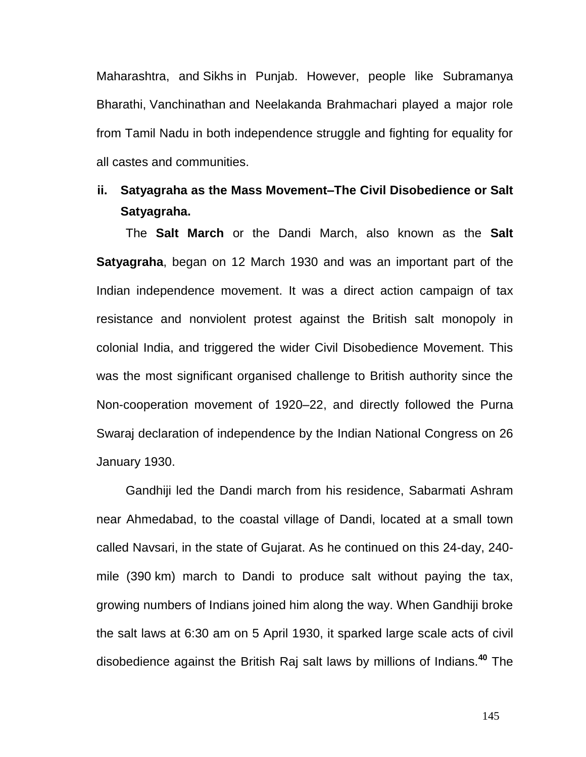[Maharashtra,](http://en.wikipedia.org/wiki/Maharashtra) and [Sikhs](http://en.wikipedia.org/wiki/Sikh) in Punjab. However, people like [Subramanya](http://en.wikipedia.org/wiki/Subramanya_Bharathi)  [Bharathi,](http://en.wikipedia.org/wiki/Subramanya_Bharathi) [Vanchinathan](http://en.wikipedia.org/wiki/Vanchinathan) and Neelakanda Brahmachari played a major role from Tamil Nadu in both independence struggle and fighting for equality for all castes and communities.

# **ii. Satyagraha as the Mass Movement–The Civil Disobedience or Salt Satyagraha.**

The **Salt March** or the Dandi March, also known as the **Salt [Satyagraha](http://en.wikipedia.org/wiki/Satyagraha)**, began on 12 March 1930 and was an important part of the [Indian independence movement.](http://en.wikipedia.org/wiki/Indian_independence_movement) It was a [direct action](http://en.wikipedia.org/wiki/Direct_action) campaign of [tax](http://en.wikipedia.org/wiki/Tax_resistance)  [resistance](http://en.wikipedia.org/wiki/Tax_resistance) and [nonviolent protest](http://en.wikipedia.org/wiki/Nonviolent_resistance) against the British salt monopoly in [colonial India,](http://en.wikipedia.org/wiki/British_Raj) and triggered the wider Civil Disobedience Movement. This was the most significant organised challenge to British authority since the [Non-cooperation movement](http://en.wikipedia.org/wiki/Non-cooperation_movement) of 1920–22, and directly followed the [Purna](http://en.wikipedia.org/wiki/Purna_Swaraj)  [Swaraj](http://en.wikipedia.org/wiki/Purna_Swaraj) declaration of independence by the [Indian National Congress](http://en.wikipedia.org/wiki/Indian_National_Congress) on 26 January 1930.

[Gandhiji](http://en.wikipedia.org/wiki/Mohandas_Karamchand_Gandhi) led the Dandi march from his residence, [Sabarmati Ashram](http://en.wikipedia.org/wiki/Sabarmati_Ashram) near [Ahmedabad,](http://en.wikipedia.org/wiki/Ahmedabad) to the coastal village of Dandi, located at a small town called [Navsari,](http://en.wikipedia.org/wiki/Navsari) in the state of [Gujarat.](http://en.wikipedia.org/wiki/Gujarat) As he continued on this 24-day, 240 mile (390 km) march to [Dandi](http://en.wikipedia.org/wiki/Dandi,_Navsari) to produce salt without paying the tax, growing numbers of Indians joined him along the way. When Gandhiji broke the salt laws at 6:30 am on 5 April 1930, it sparked large scale acts of [civil](http://en.wikipedia.org/wiki/Civil_disobedience)  [disobedience](http://en.wikipedia.org/wiki/Civil_disobedience) against the [British Raj](http://en.wikipedia.org/wiki/British_Raj) [salt laws](http://en.wikipedia.org/wiki/History_of_the_British_salt_tax_in_India) by millions of Indians.**[40](http://en.wikipedia.org/wiki/Salt_March#cite_note-1)** The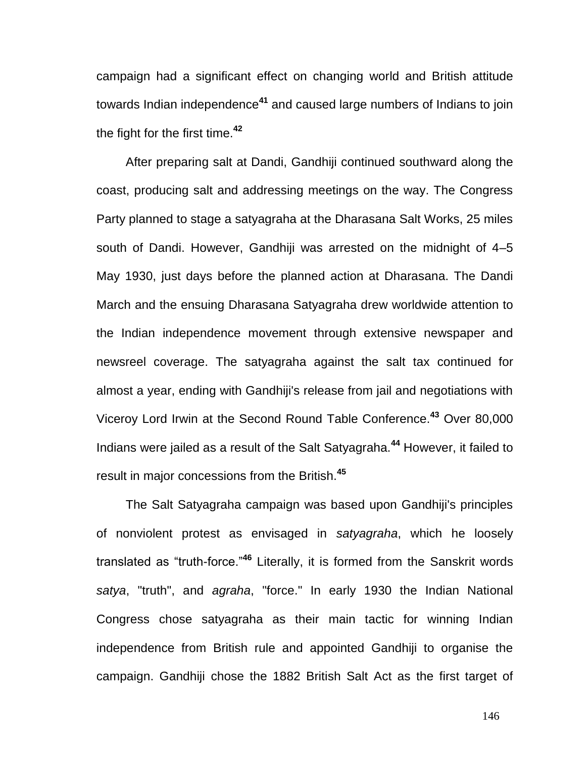campaign had a significant effect on changing world and British attitude towards Indian independence**[41](http://en.wikipedia.org/wiki/Salt_March#cite_note-3)** and caused large numbers of Indians to join the fight for the first time.**<sup>42</sup>**

After preparing salt at Dandi, Gandhiji continued southward along the coast, producing salt and addressing meetings on the way. The Congress Party planned to stage a satyagraha at the Dharasana Salt Works, 25 miles south of Dandi. However, Gandhiji was arrested on the midnight of 4–5 May 1930, just days before the planned action at Dharasana. The Dandi March and the ensuing [Dharasana Satyagraha](http://en.wikipedia.org/wiki/Dharasana_Satyagraha) drew worldwide attention to the [Indian independence movement](http://en.wikipedia.org/wiki/Indian_independence_movement) through extensive newspaper and newsreel coverage. The [satyagraha](http://en.wikipedia.org/wiki/Satyagraha) against the salt tax continued for almost a year, ending with Gandhiji's release from jail and negotiations with [Viceroy](http://en.wikipedia.org/wiki/Viceroy) [Lord Irwin](http://en.wikipedia.org/wiki/E._F._L._Wood,_1st_Earl_of_Halifax) at the Second [Round Table Conference.](http://en.wikipedia.org/wiki/Round_Table_Conference) **[43](http://en.wikipedia.org/wiki/Salt_March#cite_note-4)** Over 80,000 Indians were jailed as a result of the Salt Satyagraha.**[44](http://en.wikipedia.org/wiki/Salt_March#cite_note-5)** However, it failed to result in major concessions from the British.**[45](http://en.wikipedia.org/wiki/Salt_March#cite_note-6)**

The Salt Satyagraha campaign was based upon Gandhiji's principles of nonviolent protest as envisaged in *[satyagraha](http://en.wikipedia.org/wiki/Satyagraha)*, which he loosely translated as "truth-force."**[46](http://en.wikipedia.org/wiki/Salt_March#cite_note-7)** Literally, it is formed from the [Sanskrit](http://en.wikipedia.org/wiki/Sanskrit) words *satya*, "truth", and *agraha*, "force." In early 1930 the Indian National Congress chose satyagraha as their main tactic for winning Indian independence from British rule and appointed Gandhiji to organise the campaign. Gandhiji chose the 1882 British Salt Act as the first target of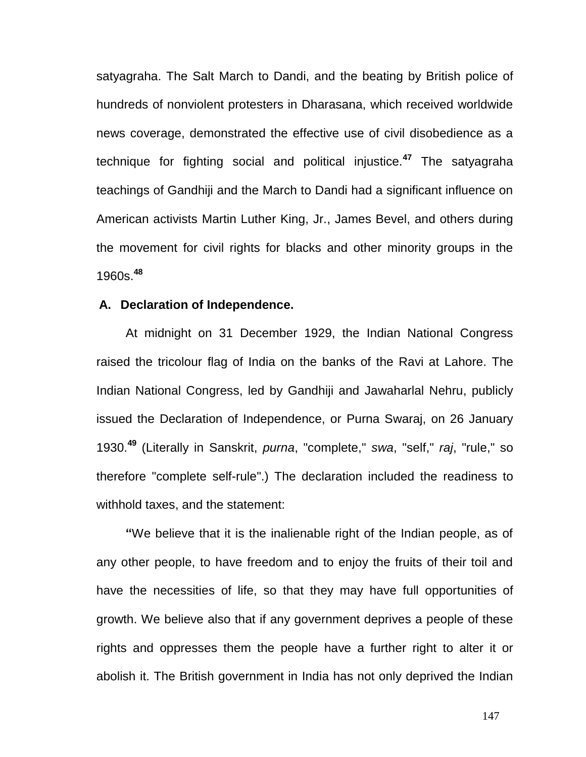satyagraha. The Salt March to Dandi, and the beating by British police of hundreds of nonviolent protesters in Dharasana, which received worldwide news coverage, demonstrated the effective use of civil disobedience as a technique for fighting social and political injustice.**[47](http://en.wikipedia.org/wiki/Salt_March#cite_note-8)** The satyagraha teachings of Gandhiji and the March to Dandi had a significant influence on American activists [Martin Luther King, Jr.,](http://en.wikipedia.org/wiki/Martin_Luther_King,_Jr.) [James Bevel,](http://en.wikipedia.org/wiki/James_Bevel) and others during [the movement](http://en.wikipedia.org/wiki/African-American_Civil_Rights_Movement_%281954%E2%80%9368%29) for civil rights for blacks and other minority groups in the 1960s.**[48](http://en.wikipedia.org/wiki/Salt_March#cite_note-King.2C_p._23-9)**

#### **A. Declaration of Independence.**

At midnight on 31 December 1929, the [Indian National Congress](http://en.wikipedia.org/wiki/Indian_National_Congress) raised the tricolour [flag of India](http://en.wikipedia.org/wiki/Flag_of_India) on the banks of the [Ravi](http://en.wikipedia.org/wiki/Ravi_River) at [Lahore.](http://en.wikipedia.org/wiki/Lahore) The Indian National Congress, led by Gandhiji and [Jawaharlal Nehru,](http://en.wikipedia.org/wiki/Jawaharlal_Nehru) publicly issued the Declaration of Independence, or [Purna Swaraj,](http://en.wikipedia.org/wiki/Purna_Swaraj) on 26 January 1930.**[49](http://en.wikipedia.org/wiki/Salt_March#cite_note-10)** (Literally in [Sanskrit,](http://en.wikipedia.org/wiki/Sanskrit) *purna*, "complete," *swa*, "self," *raj*, "rule," so therefore "complete self-rule".) The declaration included the readiness to withhold taxes, and the statement:

**"**We believe that it is the inalienable right of the Indian people, as of any other people, to have freedom and to enjoy the fruits of their toil and have the necessities of life, so that they may have full opportunities of growth. We believe also that if any government deprives a people of these rights and oppresses them the people have a further right to alter it or abolish it. The British government in India has not only deprived the Indian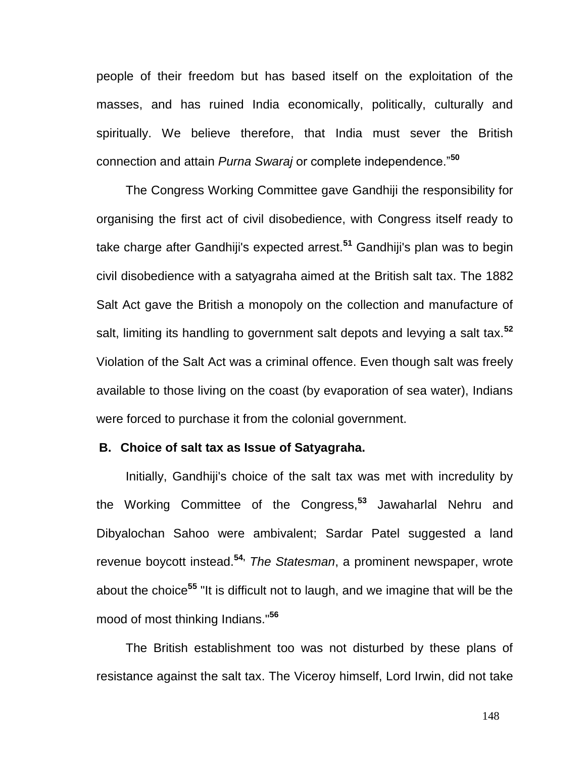people of their freedom but has based itself on the exploitation of the masses, and has ruined India economically, politically, culturally and spiritually. We believe therefore, that India must sever the British connection and attain *Purna Swaraj* or complete independence."**[50](http://en.wikipedia.org/wiki/Salt_March#cite_note-11)**

The [Congress Working Committee](http://en.wikipedia.org/wiki/Congress_Working_Committee) gave Gandhiji the responsibility for organising the first act of [civil disobedience,](http://en.wikipedia.org/wiki/Civil_disobedience) with Congress itself ready to take charge after Gandhiji's expected arrest.**[51](http://en.wikipedia.org/wiki/Salt_March#cite_note-Ackerman_.26_DuVall.2C_p._83-12)** Gandhiji's plan was to begin civil disobedience with a satyagraha aimed at the [British salt tax.](http://en.wikipedia.org/wiki/History_of_the_British_salt_tax_in_India) The 1882 Salt Act gave the British a monopoly on the collection and manufacture of salt, limiting its handling to government salt depots and levying a salt tax.**[52](http://en.wikipedia.org/wiki/Salt_March#cite_note-13)** Violation of the Salt Act was a criminal offence. Even though salt was freely available to those living on the coast (by evaporation of sea water), Indians were forced to purchase it from the colonial government.

# **B. Choice of salt tax as Issue of Satyagraha.**

Initially, Gandhiji's choice of the salt tax was met with incredulity by the Working Committee of the Congress,**[53](http://en.wikipedia.org/wiki/Salt_March#cite_note-14)** [Jawaharlal Nehru](http://en.wikipedia.org/wiki/Jawaharlal_Nehru) and Dibyalochan Sahoo were ambivalent; [Sardar Patel](http://en.wikipedia.org/wiki/Sardar_Patel) suggested a land revenue boycott instead.**[54,](http://en.wikipedia.org/wiki/Salt_March#cite_note-15)** *[The Statesman](http://en.wikipedia.org/wiki/The_Statesman)*, a prominent newspaper, wrote about the choice**<sup>55</sup>** "It is difficult not to laugh, and we imagine that will be the mood of most thinking Indians."**[56](http://en.wikipedia.org/wiki/Salt_March#cite_note-gopalgandhi-16)**

The British establishment too was not disturbed by these plans of resistance against the salt tax. The [Viceroy](http://en.wikipedia.org/wiki/Viceroy) himself, [Lord Irwin,](http://en.wikipedia.org/wiki/Lord_Irwin) did not take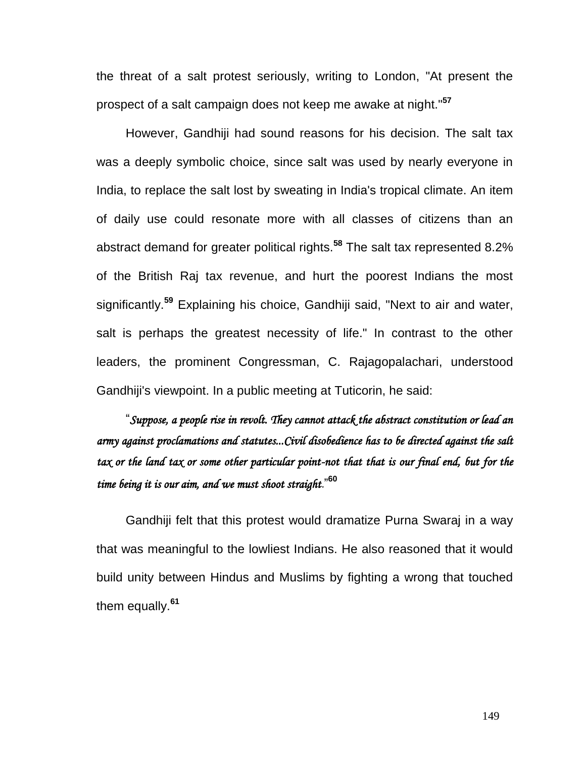the threat of a salt protest seriously, writing to London, "At present the prospect of a salt campaign does not keep me awake at night."**[57](http://en.wikipedia.org/wiki/Salt_March#cite_note-17)**

However, Gandhiji had sound reasons for his decision. The salt tax was a deeply symbolic choice, since salt was used by nearly everyone in India, to replace the salt lost by sweating in India's tropical climate. An item of daily use could resonate more with all classes of citizens than an abstract demand for greater political rights.**[58](http://en.wikipedia.org/wiki/Salt_March#cite_note-18)** The salt tax represented 8.2% of the British Raj tax revenue, and hurt the poorest Indians the most significantly.**[59](http://en.wikipedia.org/wiki/Salt_March#cite_note-Gandhi_.26_Dalton.2C_1996.2C_p._72-19)** Explaining his choice, Gandhiji said, "Next to air and water, salt is perhaps the greatest necessity of life." In contrast to the other leaders, the prominent Congressman, [C. Rajagopalachari,](http://en.wikipedia.org/wiki/C._Rajagopalachari) understood Gandhiji's viewpoint. In a public meeting at [Tuticorin,](http://en.wikipedia.org/wiki/Tuticorin) he said:

"*Suppose, a people rise in revolt. They cannot attack the abstract constitution or lead an army against proclamations and statutes...Civil disobedience has to be directed against the salt tax or the land tax or some other particular point-not that that is our final end, but for the time being it is our aim, and we must shoot straight.*" **[60](http://en.wikipedia.org/wiki/Salt_March#cite_note-gopalgandhi-16)**

Gandhiji felt that this protest would dramatize Purna Swaraj in a way that was meaningful to the lowliest Indians. He also reasoned that it would build unity between Hindus and Muslims by fighting a wrong that touched them equally.**[61](http://en.wikipedia.org/wiki/Salt_March#cite_note-Ackerman_.26_DuVall.2C_p._83-12)**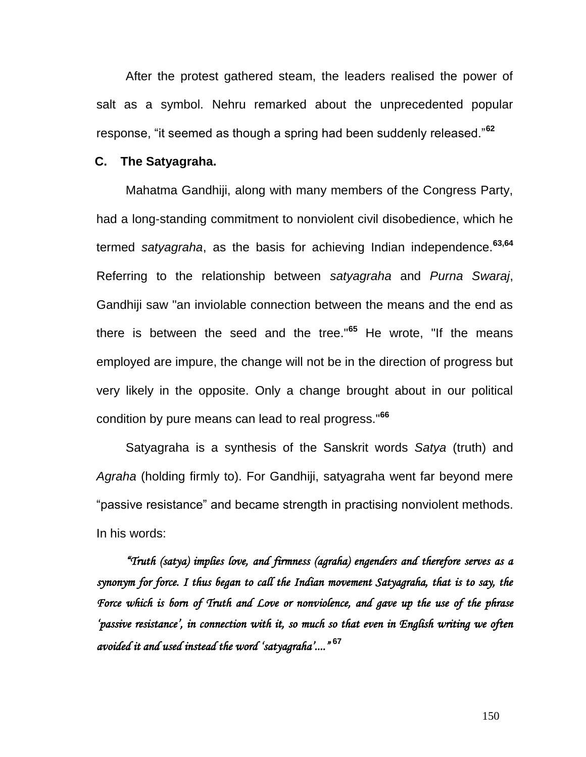After the protest gathered steam, the leaders realised the power of salt as a symbol. Nehru remarked about the unprecedented popular response, "it seemed as though a spring had been suddenly released."**[62](http://en.wikipedia.org/wiki/Salt_March#cite_note-gopalgandhi-16)**

## **C. The Satyagraha.**

Mahatma Gandhiji, along with many members of the Congress Party, had a long-standing commitment to nonviolent civil disobedience, which he termed *satyagraha*, as the basis for achieving Indian independence.**[63,](http://en.wikipedia.org/wiki/Salt_March#cite_note-20)64** Referring to the relationship between *satyagraha* and *Purna Swaraj*, Gandhiji saw "an inviolable connection between the means and the end as there is between the seed and the tree."**[65](http://en.wikipedia.org/wiki/Salt_March#cite_note-22)** He wrote, "If the means employed are impure, the change will not be in the direction of progress but very likely in the opposite. Only a change brought about in our political condition by pure means can lead to real progress."**[66](http://en.wikipedia.org/wiki/Salt_March#cite_note-23)**

[Satyagraha](http://en.wikipedia.org/wiki/Satyagraha) is a synthesis of the Sanskrit words *Satya* (truth) and *Agraha* (holding firmly to). For Gandhiji, satyagraha went far beyond mere "passive resistance" and became strength in practising nonviolent methods. In his words:

*"Truth (satya) implies love, and firmness (agraha) engenders and therefore serves as a synonym for force. I thus began to call the Indian movement Satyagraha, that is to say, the Force which is born of Truth and Love or nonviolence, and gave up the use of the phrase "passive resistance", in connection with it, so much so that even in English writing we often avoided it and used instead the word "satyagraha"...."*  **[67](http://en.wikipedia.org/wiki/Salt_March#cite_note-24)**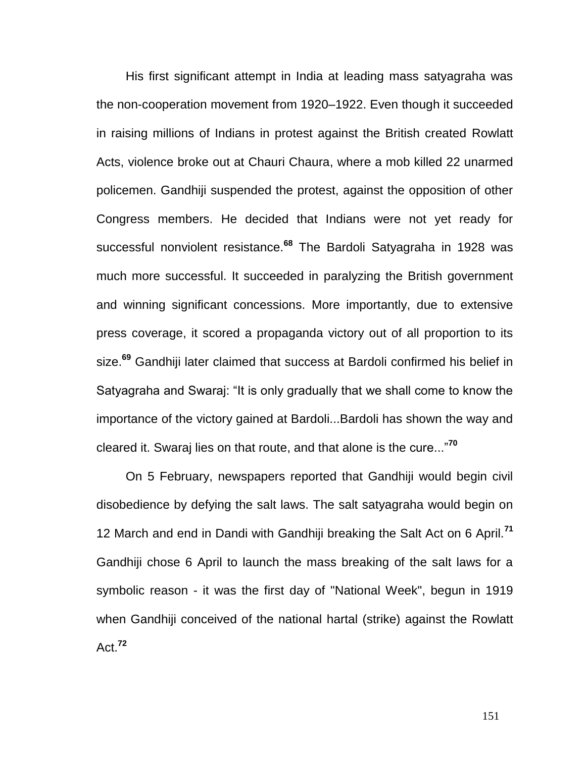His first significant attempt in India at leading mass satyagraha was the [non-cooperation movement](http://en.wikipedia.org/wiki/Non-cooperation_movement) from 1920–1922. Even though it succeeded in raising millions of Indians in protest against the British created [Rowlatt](http://en.wikipedia.org/wiki/Rowlatt_Acts)  [Acts,](http://en.wikipedia.org/wiki/Rowlatt_Acts) violence broke out at [Chauri Chaura,](http://en.wikipedia.org/wiki/Chauri_Chaura_incident) where a mob killed 22 unarmed policemen. Gandhiji suspended the protest, against the opposition of other Congress members. He decided that Indians were not yet ready for successful nonviolent resistance.**[68](http://en.wikipedia.org/wiki/Salt_March#cite_note-25)** The [Bardoli Satyagraha](http://en.wikipedia.org/wiki/Bardoli_Satyagraha) in 1928 was much more successful. It succeeded in paralyzing the British government and winning significant concessions. More importantly, due to extensive press coverage, it scored a propaganda victory out of all proportion to its size.**[69](http://en.wikipedia.org/wiki/Salt_March#cite_note-26)** Gandhiji later claimed that success at Bardoli confirmed his belief in Satyagraha and Swaraj: "It is only gradually that we shall come to know the importance of the victory gained at Bardoli...Bardoli has shown the way and cleared it. Swaraj lies on that route, and that alone is the cure..."**[70](http://en.wikipedia.org/wiki/Salt_March#cite_note-27)**

On 5 February, newspapers reported that Gandhiji would begin civil disobedience by defying the salt laws. The salt satyagraha would begin on 12 March and end in Dandi with Gandhiji breaking the Salt Act on 6 April.**[71](http://en.wikipedia.org/wiki/Salt_March#cite_note-29)** Gandhiji chose 6 April to launch the mass breaking of the salt laws for a symbolic reason - it was the first day of "National Week", begun in 1919 when Gandhiji conceived of the national [hartal](http://en.wikipedia.org/wiki/Hartal) (strike) against the [Rowlatt](http://en.wikipedia.org/wiki/Rowlatt_Act)  [Act.](http://en.wikipedia.org/wiki/Rowlatt_Act) **[72](http://en.wikipedia.org/wiki/Salt_March#cite_note-30)**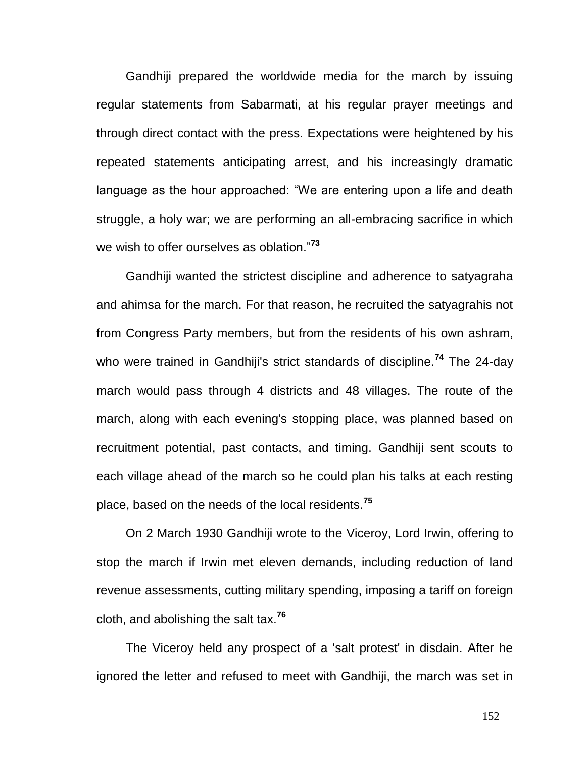Gandhiji prepared the worldwide media for the march by issuing regular statements from Sabarmati, at his regular prayer meetings and through direct contact with the press. Expectations were heightened by his repeated statements anticipating arrest, and his increasingly dramatic language as the hour approached: "We are entering upon a life and death struggle, a holy war; we are performing an all-embracing sacrifice in which we wish to offer ourselves as oblation."**[73](http://en.wikipedia.org/wiki/Salt_March#cite_note-31)**

Gandhiji wanted the strictest discipline and adherence to satyagraha and ahimsa for the march. For that reason, he recruited the satyagrahis not from Congress Party members, but from the residents of his own [ashram,](http://en.wikipedia.org/wiki/Ashram) who were trained in Gandhiji's strict standards of discipline.**[74](http://en.wikipedia.org/wiki/Salt_March#cite_note-33)** The 24-day march would pass through 4 districts and 48 villages. The route of the march, along with each evening's stopping place, was planned based on recruitment potential, past contacts, and timing. Gandhiji sent scouts to each village ahead of the march so he could plan his talks at each resting place, based on the needs of the local residents.**[75](http://en.wikipedia.org/wiki/Salt_March#cite_note-34)**

On 2 March 1930 Gandhiji wrote to the [Viceroy,](http://en.wikipedia.org/wiki/Viceroy) [Lord Irwin,](http://en.wikipedia.org/wiki/Lord_Irwin) offering to stop the march if Irwin met eleven demands, including reduction of land revenue assessments, cutting military spending, imposing a tariff on foreign cloth, and abolishing the salt tax.**<sup>76</sup>**

The Viceroy held any prospect of a 'salt protest' in disdain. After he ignored the letter and refused to meet with Gandhiji, the march was set in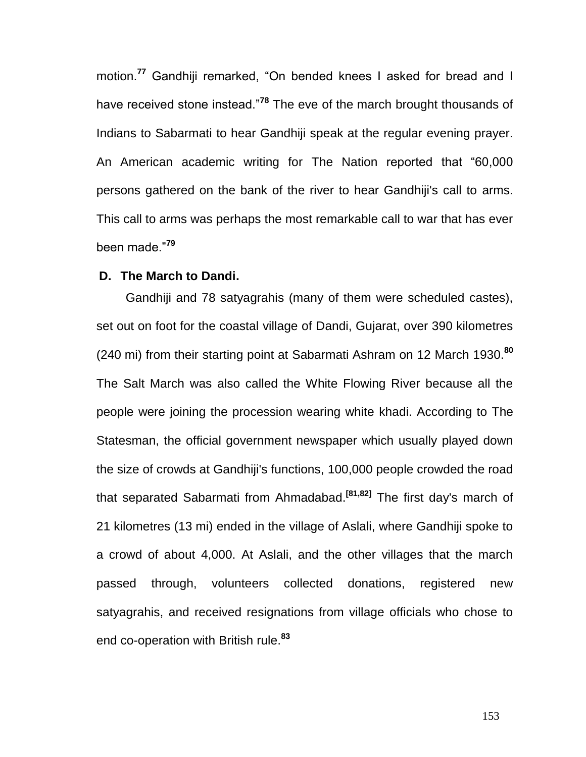motion.**[77](http://en.wikipedia.org/wiki/Salt_March#cite_note-38)** Gandhiji remarked, "On bended knees I asked for bread and I have received stone instead."**[78](http://en.wikipedia.org/wiki/Salt_March#cite_note-39)** The eve of the march brought thousands of Indians to Sabarmati to hear Gandhiji speak at the regular evening prayer. An American academic writing for [The Nation](http://en.wikipedia.org/wiki/The_Nation) reported that "60,000 persons gathered on the bank of the river to hear Gandhiji's call to arms. This call to arms was perhaps the most remarkable call to war that has ever been made."**[79](http://en.wikipedia.org/wiki/Salt_March#cite_note-40)**

#### **D. The March to Dandi.**

Gandhiji and 78 satyagrahis (many of them were scheduled castes), set out on foot for the coastal village of [Dandi, Gujarat,](http://en.wikipedia.org/wiki/Dandi,_Gujarat) over 390 kilometres (240 mi) from their starting point at [Sabarmati Ashram](http://en.wikipedia.org/wiki/Sabarmati_Ashram) on 12 March 1930.**[80](http://en.wikipedia.org/wiki/Salt_March#cite_note-41)** The Salt March was also called the White Flowing River because all the people were joining the procession wearing white khadi. According to [The](http://en.wikipedia.org/wiki/The_Statesman)  [Statesman,](http://en.wikipedia.org/wiki/The_Statesman) the official government newspaper which usually played down the size of crowds at Gandhiji's functions, 100,000 people crowded the road that separated Sabarmati from [Ahmadabad](http://en.wikipedia.org/wiki/Ahmedabad)[.](http://en.wikipedia.org/wiki/Salt_March#cite_note-42) **[\[81,82\]](http://en.wikipedia.org/wiki/Salt_March#cite_note-42)** The first day's march of 21 kilometres (13 mi) ended in the village of Aslali, where Gandhiji spoke to a crowd of about 4,000. At Aslali, and the other villages that the march passed through, volunteers collected donations, registered new satyagrahis, and received resignations from village officials who chose to end co-operation with British rule.**[83](http://en.wikipedia.org/wiki/Salt_March#cite_note-45)**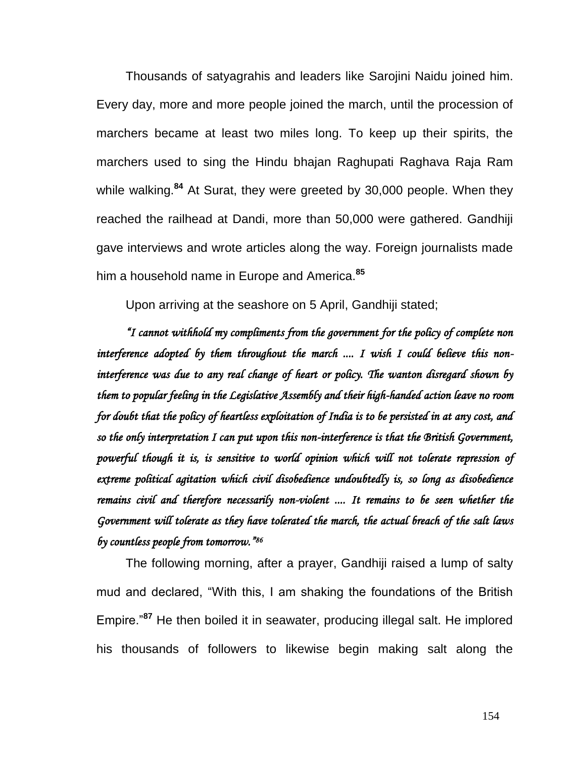Thousands of satyagrahis and leaders like [Sarojini Naidu](http://en.wikipedia.org/wiki/Sarojini_Naidu) joined him. Every day, more and more people joined the march, until the procession of marchers became at least two miles long. To keep up their spirits, the marchers used to sing the Hindu [bhajan](http://en.wikipedia.org/wiki/Bhajan) [Raghupati Raghava Raja Ram](http://en.wikipedia.org/wiki/Raghupati_Raghava_Raja_Ram) while walking.**[84](http://en.wikipedia.org/wiki/Salt_March#cite_note-48)** At Surat, they were greeted by 30,000 people. When they reached the railhead at Dandi, more than 50,000 were gathered. Gandhiji gave interviews and wrote articles along the way. Foreign journalists made him a household name in Europe and America.**[85](http://en.wikipedia.org/wiki/Salt_March#cite_note-49)**

Upon arriving at the seashore on 5 April, Gandhiji stated;

*"I cannot withhold my compliments from the government for the policy of complete non interference adopted by them throughout the march .... I wish I could believe this noninterference was due to any real change of heart or policy. The wanton disregard shown by them to popular feeling in the Legislative Assembly and their high-handed action leave no room for doubt that the policy of heartless exploitation of India is to be persisted in at any cost, and so the only interpretation I can put upon this non-interference is that the British Government, powerful though it is, is sensitive to world opinion which will not tolerate repression of extreme political agitation which civil disobedience undoubtedly is, so long as disobedience remains civil and therefore necessarily non-violent .... It remains to be seen whether the Government will tolerate as they have tolerated the march, the actual breach of the salt laws by countless people from tomorrow." 86* 

The following morning, after a prayer, Gandhiji raised a lump of salty mud and declared, "With this, I am shaking the foundations of the British Empire."**[87](http://en.wikipedia.org/wiki/Salt_March#cite_note-Gandhi_.26_Dalton.2C_1996.2C_p._72-19)** He then boiled it in seawater, producing illegal salt. He implored his thousands of followers to likewise begin making salt along the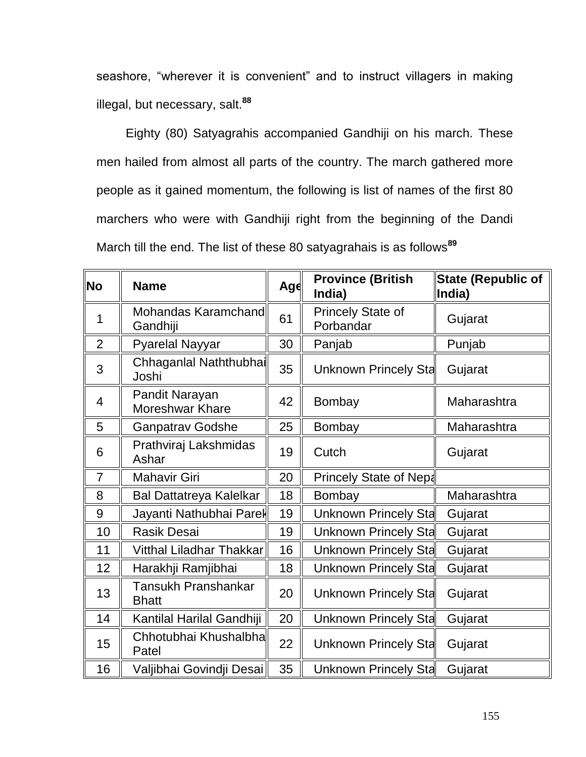seashore, "wherever it is convenient" and to instruct villagers in making illegal, but necessary, salt.**[88](http://en.wikipedia.org/wiki/Salt_March#cite_note-54)**

Eighty (80) Satyagrahis accompanied Gandhiji on his march. These men hailed from almost all parts of the country. The march gathered more people as it gained momentum, the following is list of names of the first 80 marchers who were with Gandhiji right from the beginning of the Dandi March till the end. The list of these 80 satyagrahais is as follows**<sup>89</sup>**

| $\ $ No        | <b>Name</b>                              | Age | <b>Province (British</b><br>India)    | <b>State (Republic of</b><br>India) |
|----------------|------------------------------------------|-----|---------------------------------------|-------------------------------------|
| 1              | Mohandas Karamchand<br>Gandhiji          | 61  | <b>Princely State of</b><br>Porbandar | Gujarat                             |
| $\overline{2}$ | <b>Pyarelal Nayyar</b>                   | 30  | Panjab                                | Punjab                              |
| 3              | Chhaganlal Naththubhai<br>Joshi          | 35  | Unknown Princely Sta                  | Gujarat                             |
| $\overline{4}$ | Pandit Narayan<br><b>Moreshwar Khare</b> | 42  | Bombay                                | Maharashtra                         |
| 5              | <b>Ganpatrav Godshe</b>                  | 25  | Bombay                                | Maharashtra                         |
| 6              | Prathviraj Lakshmidas<br>Ashar           | 19  | Cutch                                 | Gujarat                             |
| $\overline{7}$ | <b>Mahavir Giri</b>                      | 20  | <b>Princely State of Nepal</b>        |                                     |
| 8              | <b>Bal Dattatreya Kalelkar</b>           | 18  | Bombay                                | Maharashtra                         |
| 9              | Jayanti Nathubhai Parel                  | 19  | Unknown Princely Stal                 | Gujarat                             |
| 10             | <b>Rasik Desai</b>                       | 19  | Unknown Princely Stal                 | Gujarat                             |
| 11             | Vitthal Liladhar Thakkar                 | 16  | Unknown Princely Sta                  | Gujarat                             |
| 12             | Harakhji Ramjibhai                       | 18  | Unknown Princely Sta                  | Gujarat                             |
| 13             | Tansukh Pranshankar<br><b>Bhatt</b>      | 20  | Unknown Princely Sta                  | Gujarat                             |
| 14             | Kantilal Harilal Gandhiji                | 20  | Unknown Princely Stal                 | Gujarat                             |
| 15             | Chhotubhai Khushalbha<br>Patel           | 22  | Unknown Princely Sta                  | Gujarat                             |
| 16             | Valjibhai Govindji Desai                 | 35  | Unknown Princely Sta                  | Gujarat                             |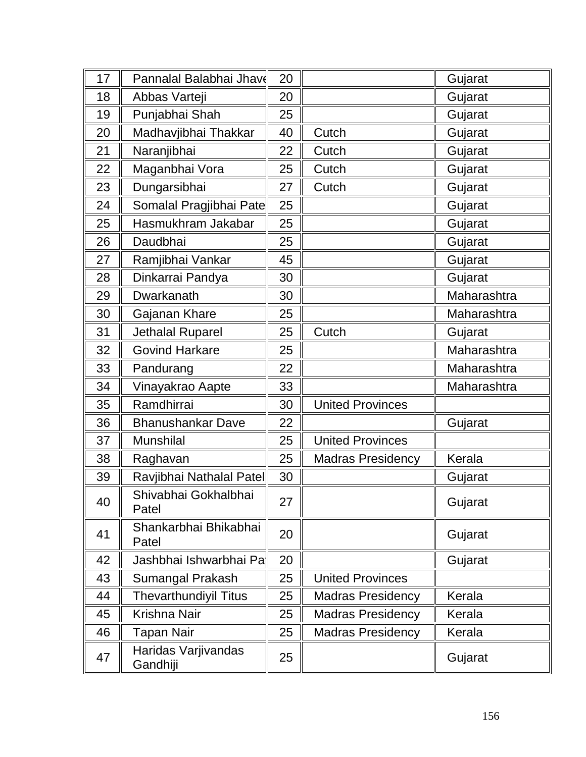| 17 | Pannalal Balabhai Jhav          | 20 |                          | Gujarat     |
|----|---------------------------------|----|--------------------------|-------------|
| 18 | Abbas Varteji                   | 20 |                          | Gujarat     |
| 19 | Punjabhai Shah                  | 25 |                          | Gujarat     |
| 20 | Madhavjibhai Thakkar            | 40 | Cutch                    | Gujarat     |
| 21 | Naranjibhai                     | 22 | Cutch                    | Gujarat     |
| 22 | Maganbhai Vora                  | 25 | Cutch                    | Gujarat     |
| 23 | Dungarsibhai                    | 27 | Cutch                    | Gujarat     |
| 24 | Somalal Pragjibhai Pate         | 25 |                          | Gujarat     |
| 25 | Hasmukhram Jakabar              | 25 |                          | Gujarat     |
| 26 | Daudbhai                        | 25 |                          | Gujarat     |
| 27 | Ramjibhai Vankar                | 45 |                          | Gujarat     |
| 28 | Dinkarrai Pandya                | 30 |                          | Gujarat     |
| 29 | Dwarkanath                      | 30 |                          | Maharashtra |
| 30 | Gajanan Khare                   | 25 |                          | Maharashtra |
| 31 | <b>Jethalal Ruparel</b>         | 25 | Cutch                    | Gujarat     |
| 32 | <b>Govind Harkare</b>           | 25 |                          | Maharashtra |
| 33 | Pandurang                       | 22 |                          | Maharashtra |
| 34 | Vinayakrao Aapte                | 33 |                          | Maharashtra |
| 35 | Ramdhirrai                      | 30 | <b>United Provinces</b>  |             |
| 36 | <b>Bhanushankar Dave</b>        | 22 |                          | Gujarat     |
| 37 | <b>Munshilal</b>                | 25 | <b>United Provinces</b>  |             |
| 38 | Raghavan                        | 25 | <b>Madras Presidency</b> | Kerala      |
| 39 | Ravjibhai Nathalal Patel        | 30 |                          | Gujarat     |
| 40 | Shivabhai Gokhalbhai<br>Patel   | 27 |                          | Gujarat     |
| 41 | Shankarbhai Bhikabhai<br>Patel  | 20 |                          | Gujarat     |
| 42 | Jashbhai Ishwarbhai Pall        | 20 |                          | Gujarat     |
| 43 | Sumangal Prakash                | 25 | <b>United Provinces</b>  |             |
| 44 | <b>Thevarthundiyil Titus</b>    | 25 | <b>Madras Presidency</b> | Kerala      |
| 45 | Krishna Nair                    | 25 | <b>Madras Presidency</b> | Kerala      |
| 46 | Tapan Nair                      | 25 | <b>Madras Presidency</b> | Kerala      |
| 47 | Haridas Varjivandas<br>Gandhiji | 25 |                          | Gujarat     |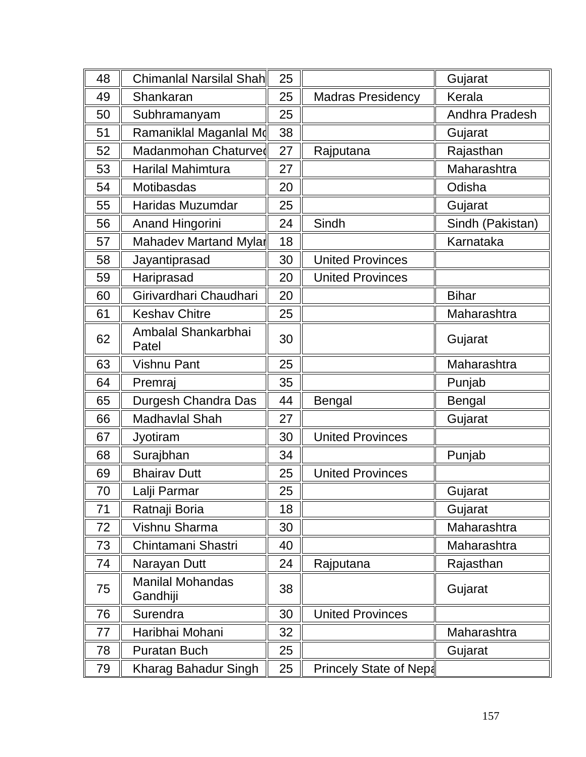| 48 | Chimanlal Narsilal Shah             | 25 |                          | Gujarat          |
|----|-------------------------------------|----|--------------------------|------------------|
| 49 | Shankaran                           | 25 | <b>Madras Presidency</b> | Kerala           |
| 50 | Subhramanyam                        | 25 |                          | Andhra Pradesh   |
| 51 | Ramaniklal Maganlal Md              | 38 |                          | Gujarat          |
| 52 | Madanmohan Chaturved                | 27 | Rajputana                | Rajasthan        |
| 53 | <b>Harilal Mahimtura</b>            | 27 |                          | Maharashtra      |
| 54 | Motibasdas                          | 20 |                          | Odisha           |
| 55 | Haridas Muzumdar                    | 25 |                          | Gujarat          |
| 56 | <b>Anand Hingorini</b>              | 24 | Sindh                    | Sindh (Pakistan) |
| 57 | Mahadev Martand Mylar               | 18 |                          | Karnataka        |
| 58 | Jayantiprasad                       | 30 | <b>United Provinces</b>  |                  |
| 59 | Hariprasad                          | 20 | <b>United Provinces</b>  |                  |
| 60 | Girivardhari Chaudhari              | 20 |                          | <b>Bihar</b>     |
| 61 | <b>Keshav Chitre</b>                | 25 |                          | Maharashtra      |
| 62 | Ambalal Shankarbhai<br>Patel        | 30 |                          | Gujarat          |
| 63 | <b>Vishnu Pant</b>                  | 25 |                          | Maharashtra      |
| 64 | Premraj                             | 35 |                          | Punjab           |
| 65 | Durgesh Chandra Das                 | 44 | <b>Bengal</b>            | <b>Bengal</b>    |
| 66 | Madhavlal Shah                      | 27 |                          | Gujarat          |
| 67 | Jyotiram                            | 30 | <b>United Provinces</b>  |                  |
| 68 | Surajbhan                           | 34 |                          | Punjab           |
| 69 | <b>Bhairav Dutt</b>                 | 25 | <b>United Provinces</b>  |                  |
| 70 | Lalji Parmar                        | 25 |                          | Gujarat          |
| 71 | Ratnaji Boria                       | 18 |                          | Gujarat          |
| 72 | Vishnu Sharma                       | 30 |                          | Maharashtra      |
| 73 | Chintamani Shastri                  | 40 |                          | Maharashtra      |
| 74 | Narayan Dutt                        | 24 | Rajputana                | Rajasthan        |
| 75 | <b>Manilal Mohandas</b><br>Gandhiji | 38 |                          | Gujarat          |
| 76 | Surendra                            | 30 | <b>United Provinces</b>  |                  |
| 77 | Haribhai Mohani                     | 32 |                          | Maharashtra      |
| 78 | <b>Puratan Buch</b>                 | 25 |                          | Gujarat          |
| 79 | Kharag Bahadur Singh                | 25 | Princely State of Nepa   |                  |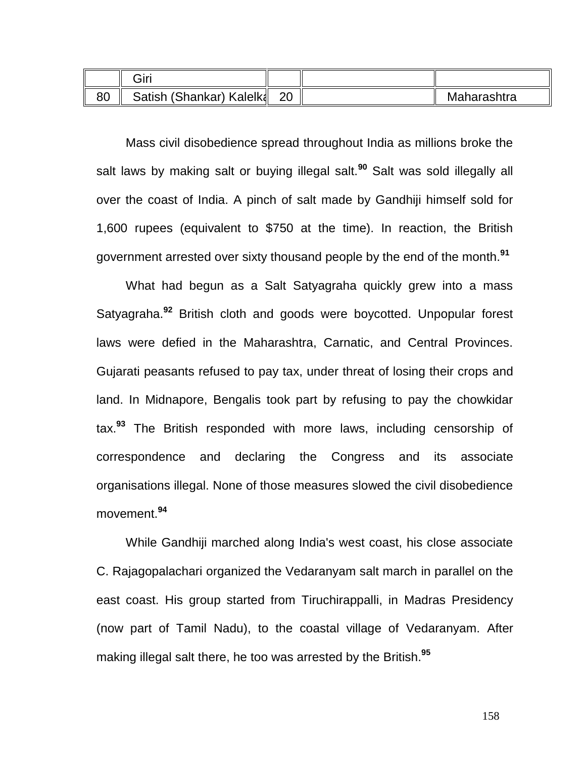|    | Giri                     |    |             |
|----|--------------------------|----|-------------|
| 80 | Satish (Shankar) Kalelka | ററ | Maharashtra |

Mass civil disobedience spread throughout India as millions broke the salt laws by making salt or buying illegal salt.**[90](http://en.wikipedia.org/wiki/Salt_March#cite_note-Gandhi_.26_Dalton.2C_1996.2C_p._72-19)** Salt was sold illegally all over the coast of India. A pinch of salt made by Gandhiji himself sold for 1,600 [rupees](http://en.wikipedia.org/wiki/Rupee) (equivalent to \$750 at the time). In reaction, the British government arrested over sixty thousand people by the end of the month.**[91](http://en.wikipedia.org/wiki/Salt_March#cite_note-Gandhi_.26_Jack.2C_1994.2C_p._238-239-52)**

What had begun as a Salt Satyagraha quickly grew into a mass Satyagraha.**[92](http://en.wikipedia.org/wiki/Salt_March#cite_note-58)** British cloth and goods were boycotted. Unpopular forest laws were defied in the Maharashtra, Carnatic, and Central Provinces. Gujarati peasants refused to pay tax, under threat of losing their crops and land. In Midnapore, Bengalis took part by refusing to pay the chowkidar tax.**[93](http://en.wikipedia.org/wiki/Salt_March#cite_note-59)** The British responded with more laws, including censorship of correspondence and declaring the Congress and its associate organisations illegal. None of those measures slowed the civil disobedience movement.**[94](http://en.wikipedia.org/wiki/Salt_March#cite_note-60)**

While Gandhiji marched along India's west coast, his close associate [C. Rajagopalachari](http://en.wikipedia.org/wiki/C._Rajagopalachari) organized the [Vedaranyam salt march](http://en.wikipedia.org/wiki/Vedaranyam_march) in parallel on the east coast. His group started from [Tiruchirappalli,](http://en.wikipedia.org/wiki/Tiruchirappalli) in [Madras Presidency](http://en.wikipedia.org/wiki/Madras_Presidency) (now part of [Tamil Nadu\)](http://en.wikipedia.org/wiki/Tamil_Nadu), to the coastal village of [Vedaranyam.](http://en.wikipedia.org/wiki/Vedaranyam) After making illegal salt there, he too was arrested by the British.**[95](http://en.wikipedia.org/wiki/Salt_March#cite_note-gopalgandhi-16)**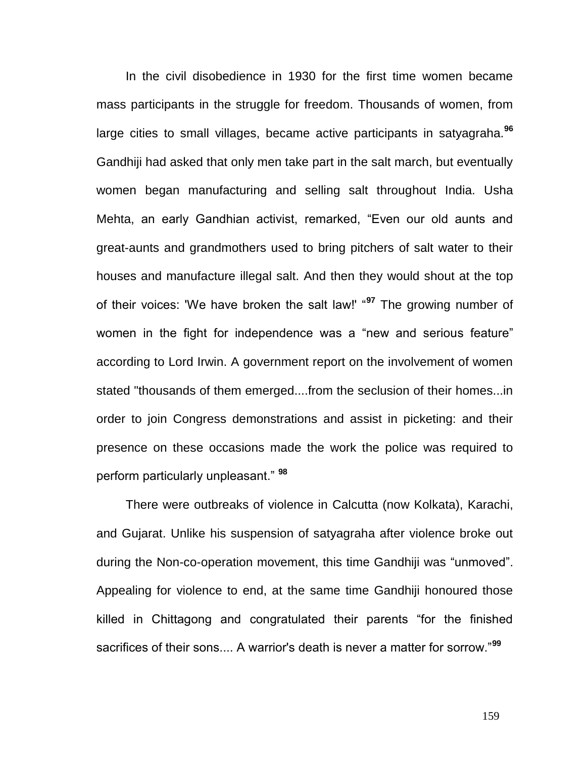In the civil disobedience in 1930 for the first time women became mass participants in the struggle for freedom. Thousands of women, from large cities to small villages, became active participants in satyagraha.**[96](http://en.wikipedia.org/wiki/Salt_March#cite_note-64)** Gandhiji had asked that only men take part in the salt march, but eventually women began manufacturing and selling salt throughout India. [Usha](http://en.wikipedia.org/wiki/Usha_Mehta)  [Mehta,](http://en.wikipedia.org/wiki/Usha_Mehta) an early Gandhian activist, remarked, "Even our old aunts and great-aunts and grandmothers used to bring pitchers of salt water to their houses and manufacture illegal salt. And then they would shout at the top of their voices: 'We have broken the salt law!' "**[97](http://en.wikipedia.org/wiki/Salt_March#cite_note-65)** The growing number of women in the fight for independence was a "new and serious feature" according to Lord Irwin. A government report on the involvement of women stated "thousands of them emerged....from the seclusion of their homes...in order to join Congress demonstrations and assist in picketing: and their presence on these occasions made the work the police was required to perform particularly unpleasant." **[98](http://en.wikipedia.org/wiki/Salt_March#cite_note-Johnson.2C_p._33-66)**

There were outbreaks of violence in [Calcutta](http://en.wikipedia.org/wiki/Calcutta) (now [Kolkata\)](http://en.wikipedia.org/wiki/Kolkata), Karachi, and Gujarat. Unlike his suspension of satyagraha after violence broke out during the Non-co-operation movement, this time Gandhiji was "unmoved". Appealing for violence to end, at the same time Gandhiji honoured those killed in Chittagong and congratulated their parents "for the finished sacrifices of their sons.... A warrior's death is never a matter for sorrow."**[99](http://en.wikipedia.org/wiki/Salt_March#cite_note-Wolpert.2C_2001.2C_p._149-67)**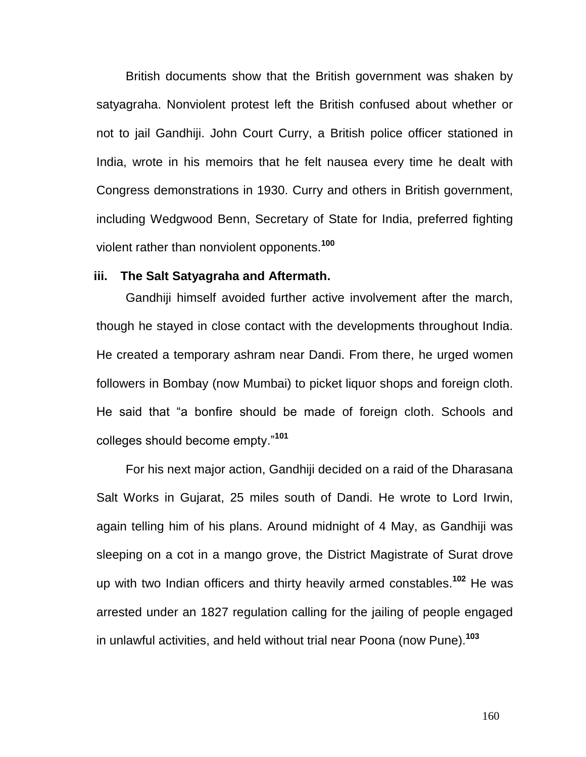British documents show that the British government was shaken by satyagraha. Nonviolent protest left the British confused about whether or not to jail Gandhiji. John Court Curry, a British police officer stationed in India, wrote in his memoirs that he felt nausea every time he dealt with Congress demonstrations in 1930. Curry and others in British government, including [Wedgwood Benn,](http://en.wikipedia.org/wiki/William_Wedgwood_Benn,_1st_Viscount_Stansgate) Secretary of State for India, preferred fighting violent rather than nonviolent opponents.**[100](http://en.wikipedia.org/wiki/Salt_March#cite_note-Johnson.2C_p._33-66)**

# **iii. The Salt Satyagraha and Aftermath.**

Gandhiji himself avoided further active involvement after the march, though he stayed in close contact with the developments throughout India. He created a temporary ashram near Dandi. From there, he urged women followers in [Bombay](http://en.wikipedia.org/wiki/Bombay) (now [Mumbai\)](http://en.wikipedia.org/wiki/Mumbai) to picket liquor shops and foreign cloth. He said that "a bonfire should be made of foreign cloth. Schools and colleges should become empty."**[101](http://en.wikipedia.org/wiki/Salt_March#cite_note-Wolpert.2C_2001.2C_p._149-67)**

For his next major action, Gandhiji decided on a raid of the Dharasana Salt Works in [Gujarat,](http://en.wikipedia.org/wiki/Gujarat) 25 miles south of Dandi. He wrote to Lord Irwin, again telling him of his plans. Around midnight of 4 May, as Gandhiji was sleeping on a cot in a [mango](http://en.wikipedia.org/wiki/Mango) grove, the District [Magistrate](http://en.wikipedia.org/wiki/Magistrate) of [Surat](http://en.wikipedia.org/wiki/Surat) drove up with two Indian officers and thirty heavily armed [constables.](http://en.wikipedia.org/wiki/Constable) **[102](http://en.wikipedia.org/wiki/Salt_March#cite_note-68)** He was arrested under an 1827 regulation calling for the jailing of people engaged in unlawful activities, and held without trial near [Poona](http://en.wikipedia.org/wiki/Poona) (now [Pune\)](http://en.wikipedia.org/wiki/Pune).**[103](http://en.wikipedia.org/wiki/Salt_March#cite_note-69)**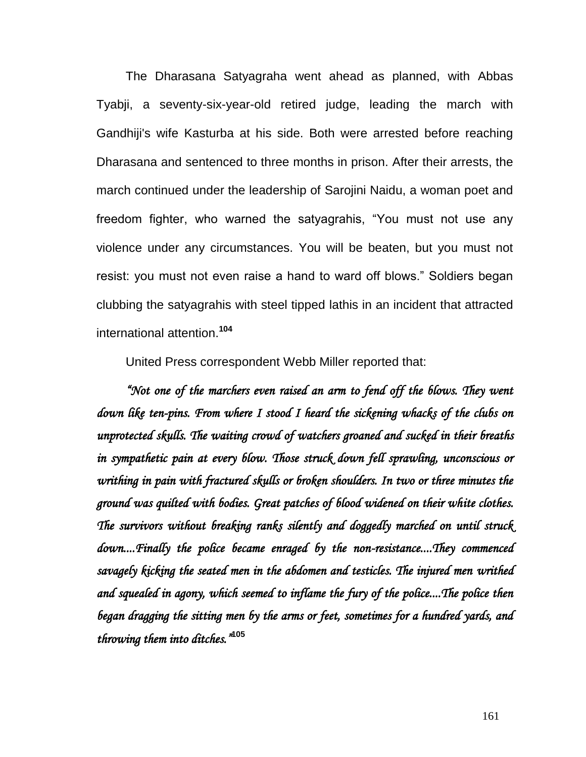The [Dharasana Satyagraha](http://en.wikipedia.org/wiki/Dharasana_Satyagraha) went ahead as planned, with [Abbas](http://en.wikipedia.org/wiki/Abbas_Tyabji)  [Tyabji,](http://en.wikipedia.org/wiki/Abbas_Tyabji) a seventy-six-year-old retired judge, leading the march with Gandhiji's wife [Kasturba](http://en.wikipedia.org/wiki/Kasturba_Gandhi) at his side. Both were arrested before reaching Dharasana and sentenced to three months in prison. After their arrests, the march continued under the leadership of [Sarojini Naidu,](http://en.wikipedia.org/wiki/Sarojini_Naidu) a woman poet and freedom fighter, who warned the satyagrahis, "You must not use any violence under any circumstances. You will be beaten, but you must not resist: you must not even raise a hand to ward off blows." Soldiers began clubbing the satyagrahis with steel tipped [lathis](http://en.wikipedia.org/wiki/Lathi) in an incident that attracted international attention.**[104](http://en.wikipedia.org/wiki/Salt_March#cite_note-70)**

United Press correspondent [Webb Miller](http://en.wikipedia.org/wiki/Webb_Miller_%28journalist%29) reported that:

*"Not one of the marchers even raised an arm to fend off the blows. They went down like ten-pins. From where I stood I heard the sickening whacks of the clubs on unprotected skulls. The waiting crowd of watchers groaned and sucked in their breaths in sympathetic pain at every blow. Those struck down fell sprawling, unconscious or writhing in pain with fractured skulls or broken shoulders. In two or three minutes the ground was quilted with bodies. Great patches of blood widened on their white clothes. The survivors without breaking ranks silently and doggedly marched on until struck down....Finally the police became enraged by the non-resistance....They commenced savagely kicking the seated men in the abdomen and testicles. The injured men writhed and squealed in agony, which seemed to inflame the fury of the police....The police then began dragging the sitting men by the arms or feet, sometimes for a hundred yards, and throwing them into ditches."* **[105](http://en.wikipedia.org/wiki/Salt_March#cite_note-71)**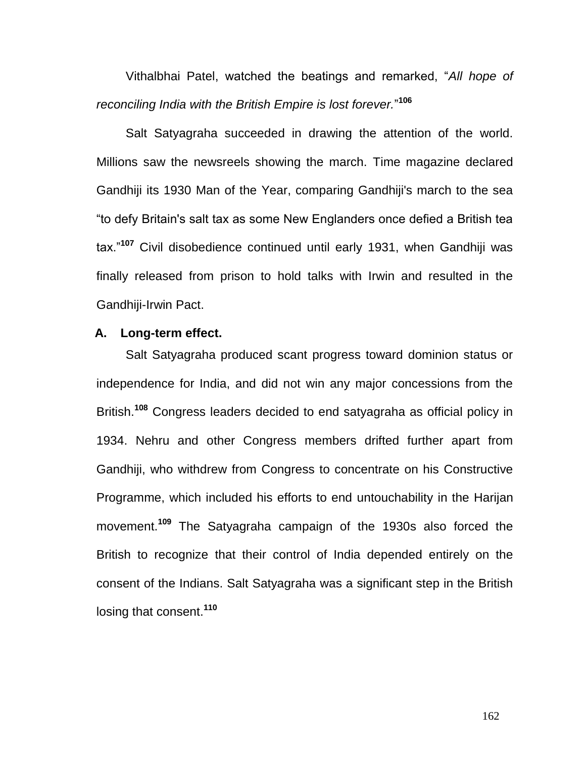[Vithalbhai Patel,](http://en.wikipedia.org/wiki/Vithalbhai_Patel) watched the beatings and remarked, "*All hope of reconciling India with the British Empire is lost forever.*" **[106](http://en.wikipedia.org/wiki/Salt_March#cite_note-72)**

Salt Satyagraha succeeded in drawing the attention of the world. Millions saw the newsreels showing the march. [Time magazine](http://en.wikipedia.org/wiki/Time_magazine) declared Gandhiji its 1930 Man of the Year, comparing Gandhiji's march to the sea "to defy Britain's salt tax as some New Englanders once defied a British tea tax."**[107](http://en.wikipedia.org/wiki/Salt_March#cite_note-74)** Civil disobedience continued until early 1931, when Gandhiji was finally released from prison to hold talks with Irwin and resulted in the [Gandhiji-Irwin Pact.](http://en.wikipedia.org/wiki/Gandhi%E2%80%93Irwin_Pact)

# **A. Long-term effect.**

Salt Satyagraha produced scant progress toward dominion status or independence for India, and did not win any major concessions from the British.**[108](http://en.wikipedia.org/wiki/Salt_March#cite_note-76)** Congress leaders decided to end satyagraha as official policy in 1934. Nehru and other Congress members drifted further apart from Gandhiji, who withdrew from Congress to concentrate on his Constructive Programme, which included his efforts to end [untouchability](http://en.wikipedia.org/wiki/Untouchability) in the [Harijan](http://en.wikipedia.org/wiki/Harijan) movement.**[109](http://en.wikipedia.org/wiki/Salt_March#cite_note-78)** The Satyagraha campaign of the 1930s also forced the British to recognize that their control of India depended entirely on the consent of the Indians. Salt Satyagraha was a significant step in the British losing that consent.**[110](http://en.wikipedia.org/wiki/Salt_March#cite_note-80)**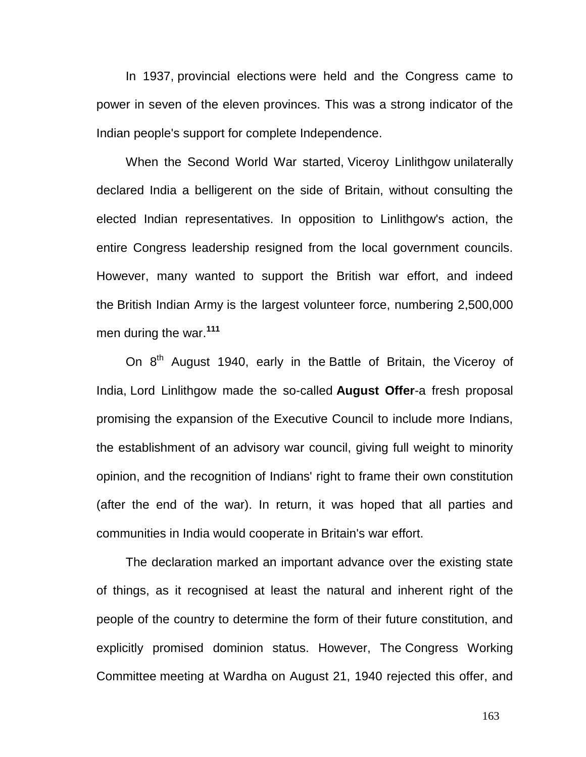In 1937, [provincial elections](http://en.wikipedia.org/wiki/Indian_Provincial_Elections,_1937) were held and the Congress came to power in seven of the eleven provinces. This was a strong indicator of the Indian people's support for complete Independence.

When the Second World War started, [Viceroy Linlithgow](http://en.wikipedia.org/wiki/Victor_Hope,_2nd_Marquess_of_Linlithgow) unilaterally declared India a belligerent on the side of Britain, without consulting the elected Indian representatives. In opposition to Linlithgow's action, the entire Congress leadership resigned from the local government councils. However, many wanted to support the British war effort, and indeed the [British Indian Army](http://en.wikipedia.org/wiki/Indian_Army_during_World_War_II) is the largest volunteer force, numbering 2,500,000 men during the war.**[111](http://en.wikipedia.org/wiki/Indian_independence_movement#cite_note-44)**

On 8<sup>th</sup> August 1940, early in the [Battle of Britain,](http://en.wikipedia.org/wiki/Battle_of_Britain) the Viceroy of [India,](http://en.wikipedia.org/wiki/Viceroy_of_India) [Lord Linlithgow](http://en.wikipedia.org/wiki/Victor_Hope,_2nd_Marquess_of_Linlithgow) made the so-called **August Offer**-a fresh proposal promising the expansion of the Executive Council to include more Indians, the establishment of an advisory war council, giving full weight to minority opinion, and the recognition of Indians' right to frame their own constitution (after the end of the war). In return, it was hoped that all parties and communities in India would cooperate in Britain's war effort.

The declaration marked an important advance over the existing state of things, as it recognised at least the natural and inherent right of the people of the country to determine the form of their future constitution, and explicitly promised dominion status. However, The [Congress Working](http://en.wikipedia.org/wiki/Congress_Working_Committee)  [Committee](http://en.wikipedia.org/wiki/Congress_Working_Committee) meeting at Wardha on August 21, 1940 rejected this offer, and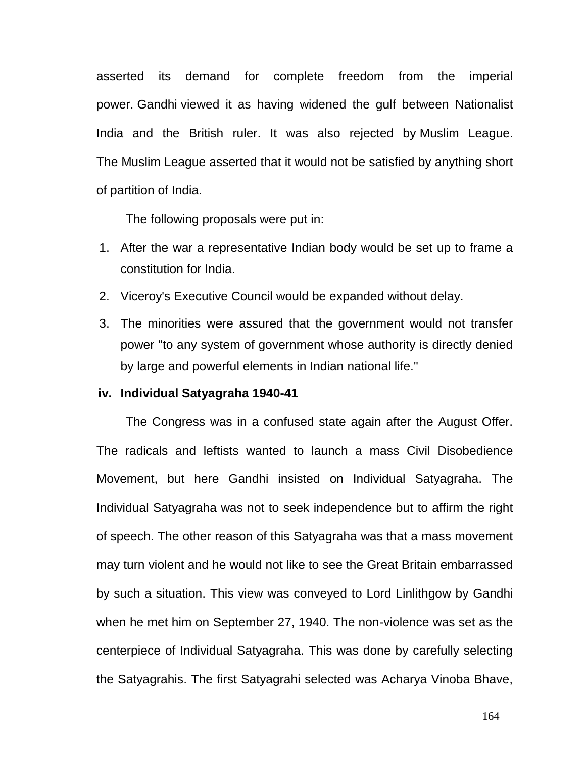asserted its demand for complete freedom from the imperial power. [Gandhi](http://en.wikipedia.org/wiki/Gandhi) viewed it as having widened the gulf between Nationalist India and the British ruler. It was also rejected by [Muslim League.](http://en.wikipedia.org/wiki/All-India_Muslim_League) The [Muslim League](http://en.wikipedia.org/wiki/All-India_Muslim_League) asserted that it would not be satisfied by anything short of partition of India.

The following proposals were put in:

- 1. After the war a representative Indian body would be set up to frame a constitution for India.
- 2. Viceroy's Executive Council would be expanded without delay.
- 3. The minorities were assured that the government would not transfer power "to any system of government whose authority is directly denied by large and powerful elements in Indian national life."

# **iv. Individual Satyagraha 1940-41**

The Congress was in a confused state again after the August Offer. The radicals and leftists wanted to launch a mass Civil Disobedience Movement, but here Gandhi insisted on Individual Satyagraha. The Individual Satyagraha was not to seek independence but to affirm the right of speech. The other reason of this Satyagraha was that a mass movement may turn violent and he would not like to see the Great Britain embarrassed by such a situation. This view was conveyed to Lord Linlithgow by Gandhi when he met him on September 27, 1940. The non-violence was set as the centerpiece of Individual Satyagraha. This was done by carefully selecting the Satyagrahis. The first Satyagrahi selected was Acharya Vinoba Bhave,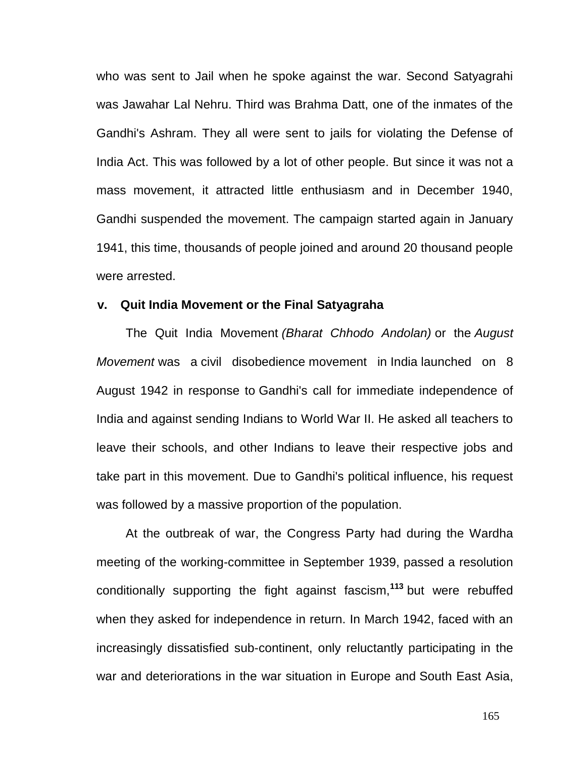who was sent to Jail when he spoke against the war. Second Satyagrahi was Jawahar Lal Nehru. Third was Brahma Datt, one of the inmates of the Gandhi's Ashram. They all were sent to jails for violating the Defense of India Act. This was followed by a lot of other people. But since it was not a mass movement, it attracted little enthusiasm and in December 1940, Gandhi suspended the movement. The campaign started again in January 1941, this time, thousands of people joined and around 20 thousand people were arrested.

#### **v. Quit India Movement or the Final Satyagraha**

The Quit India Movement *(Bharat Chhodo Andolan)* or the *August Movement* was a [civil disobedience](http://en.wikipedia.org/wiki/Civil_disobedience) movement in [India](http://en.wikipedia.org/wiki/India) launched on 8 August 1942 in response to [Gandhi's](http://en.wikipedia.org/wiki/Mohandas_Karamchand_Gandhi) call for immediate independence of India and against sending Indians to World War II. He asked all teachers to leave their schools, and other Indians to leave their respective jobs and take part in this movement. Due to Gandhi's political influence, his request was followed by a massive proportion of the population.

At the outbreak of war, the Congress Party had during the Wardha meeting of the working-committee in September 1939, passed a resolution conditionally supporting the fight against fascism,**[113](http://en.wikipedia.org/wiki/Indian_independence_movement#cite_note-46)** but were rebuffed when they asked for independence in return. In March 1942, faced with an increasingly dissatisfied sub-continent, only reluctantly participating in the war and deteriorations in the war situation in Europe and [South East Asia,](http://en.wikipedia.org/wiki/South_East_Asia)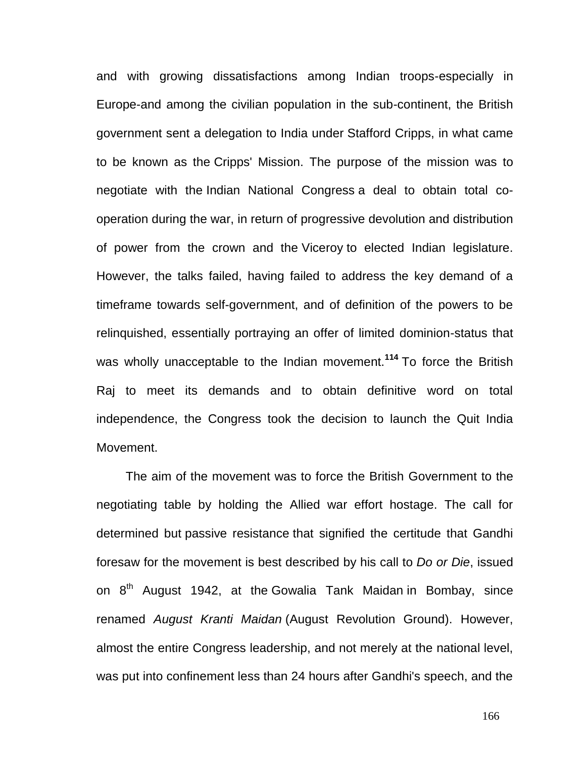and with growing dissatisfactions among Indian troops-especially in Europe-and among the civilian population in the sub-continent, the British government sent a delegation to India under [Stafford Cripps,](http://en.wikipedia.org/wiki/Stafford_Cripps) in what came to be known as the [Cripps' Mission.](http://en.wikipedia.org/wiki/Cripps%27_Mission) The purpose of the mission was to negotiate with the [Indian National Congress](http://en.wikipedia.org/wiki/Indian_National_Congress) a deal to obtain total cooperation during the war, in return of progressive devolution and distribution of power from the crown and the [Viceroy](http://en.wikipedia.org/wiki/Viceroy) to elected Indian legislature. However, the talks failed, having failed to address the key demand of a timeframe towards self-government, and of definition of the powers to be relinquished, essentially portraying an offer of limited dominion-status that was wholly unacceptable to the Indian movement.**[114](http://en.wikipedia.org/wiki/Indian_independence_movement#cite_note-Barkawi-47)** To force the British Raj to meet its demands and to obtain definitive word on total independence, the Congress took the decision to launch the Quit India Movement.

The aim of the movement was to force the British Government to the negotiating table by holding the Allied war effort hostage. The call for determined but [passive resistance](http://en.wikipedia.org/wiki/Passive_resistance) that signified the certitude that Gandhi foresaw for the movement is best described by his call to *Do or Die*, issued on  $8<sup>th</sup>$  August 1942, at the [Gowalia Tank Maidan](http://en.wikipedia.org/wiki/Gowalia_Tank) in Bombay, since renamed *August Kranti Maidan* (August Revolution Ground). However, almost the entire Congress leadership, and not merely at the national level, was put into confinement less than 24 hours after Gandhi's speech, and the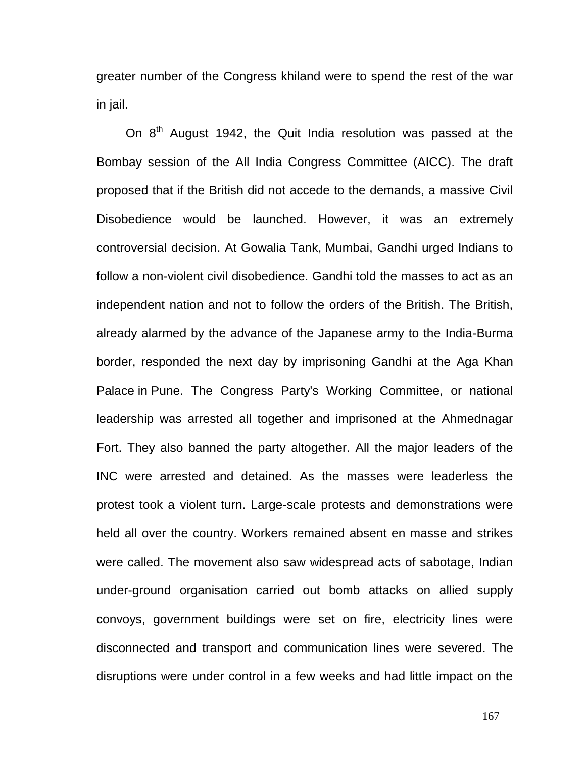greater number of the Congress khiland were to spend the rest of the war in jail.

On  $8<sup>th</sup>$  August 1942, the Quit India resolution was passed at the Bombay session of the All India Congress Committee (AICC). The draft proposed that if the British did not accede to the demands, a massive Civil Disobedience would be launched. However, it was an extremely controversial decision. At Gowalia Tank, [Mumbai,](http://en.wikipedia.org/wiki/Mumbai) Gandhi urged Indians to follow a non-violent civil disobedience. Gandhi told the masses to act as an independent nation and not to follow the orders of the British. The British, already alarmed by the advance of the Japanese army to the India-Burma border, responded the next day by imprisoning Gandhi at the [Aga Khan](http://en.wikipedia.org/wiki/Aga_Khan_Palace)  [Palace](http://en.wikipedia.org/wiki/Aga_Khan_Palace) in [Pune.](http://en.wikipedia.org/wiki/Pune) The Congress Party's Working Committee, or national leadership was arrested all together and imprisoned at the Ahmednagar Fort. They also banned the party altogether. All the major leaders of the INC were arrested and detained. As the masses were leaderless the protest took a violent turn. Large-scale protests and demonstrations were held all over the country. Workers remained absent en masse and strikes were called. The movement also saw widespread acts of sabotage, Indian under-ground organisation carried out bomb attacks on allied supply convoys, government buildings were set on fire, electricity lines were disconnected and transport and communication lines were severed. The disruptions were under control in a few weeks and had little impact on the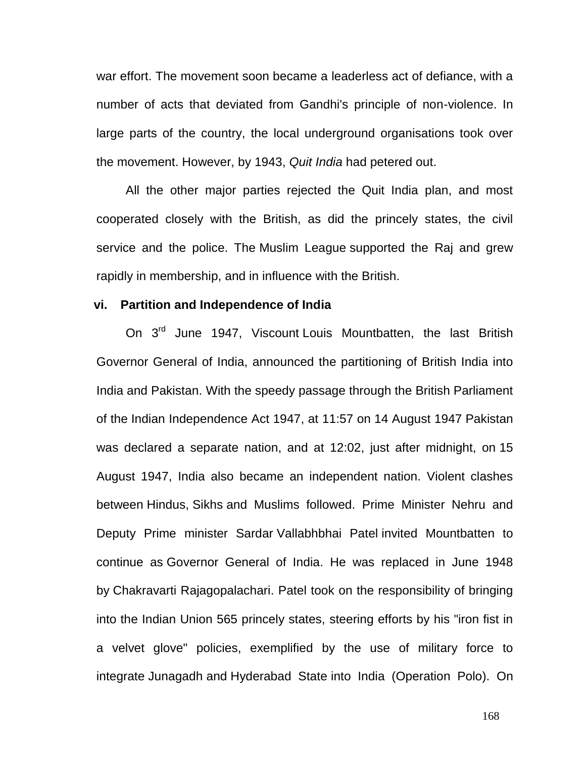war effort. The movement soon became a leaderless act of defiance, with a number of acts that deviated from Gandhi's principle of non-violence. In large parts of the country, the local underground organisations took over the movement. However, by 1943, *Quit India* had petered out.

All the other major parties rejected the Quit India plan, and most cooperated closely with the British, as did the princely states, the civil service and the police. The [Muslim League](http://en.wikipedia.org/wiki/All-India_Muslim_League) supported the Raj and grew rapidly in membership, and in influence with the British.

#### **vi. Partition and Independence of India**

On 3<sup>rd</sup> June 1947, Viscount [Louis Mountbatten,](http://en.wikipedia.org/wiki/Louis_Mountbatten) the last British [Governor General of India,](http://en.wikipedia.org/wiki/Governor-General_of_India) announced the partitioning of British India into India and [Pakistan.](http://en.wikipedia.org/wiki/Pakistan) With the speedy passage through the British Parliament of the [Indian Independence Act 1947,](http://en.wikipedia.org/wiki/Indian_Independence_Act_1947) at 11:57 on [14 August 1947](http://en.wikipedia.org/wiki/Yom-e-Istiqlal) Pakistan was declared a separate nation, and at 12:02, just after midnight, on [15](http://en.wikipedia.org/wiki/Independence_Day_(India))  [August 1947,](http://en.wikipedia.org/wiki/Independence_Day_(India)) India also became an independent nation. Violent clashes between [Hindus,](http://en.wikipedia.org/wiki/Hindu) [Sikhs](http://en.wikipedia.org/wiki/Sikh) and Muslims followed. Prime Minister Nehru and Deputy Prime minister Sardar [Vallabhbhai Patel](http://en.wikipedia.org/wiki/Vallabhbhai_Patel) invited Mountbatten to continue as [Governor General of India.](http://en.wikipedia.org/wiki/Governor_General_of_India) He was replaced in June 1948 by [Chakravarti Rajagopalachari.](http://en.wikipedia.org/wiki/Chakravarti_Rajagopalachari) Patel took on the responsibility of bringing into the Indian Union 565 princely states, steering efforts by his "iron fist in a velvet glove" policies, exemplified by the use of military force to integrate [Junagadh](http://en.wikipedia.org/wiki/Junagadh) and [Hyderabad State](http://en.wikipedia.org/wiki/Hyderabad_State) into India [\(Operation Polo\)](http://en.wikipedia.org/wiki/Operation_Polo). On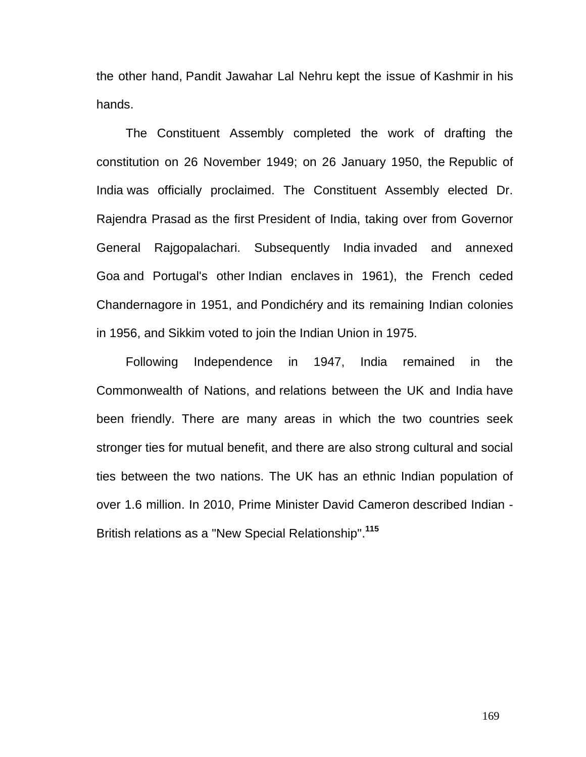the other hand, [Pandit Jawahar Lal Nehru](http://en.wikipedia.org/wiki/Pandit_Jawahar_Lal_Nehru) kept the issue of [Kashmir](http://en.wikipedia.org/wiki/Kashmir) in his hands.

The Constituent Assembly completed the work of drafting the constitution on 26 November 1949; on 26 January 1950, the [Republic of](http://en.wikipedia.org/wiki/Republic_of_India)  [India](http://en.wikipedia.org/wiki/Republic_of_India) was officially proclaimed. The Constituent Assembly elected Dr. [Rajendra Prasad](http://en.wikipedia.org/wiki/Rajendra_Prasad) as the first [President of India,](http://en.wikipedia.org/wiki/President_of_India) taking over from Governor General Rajgopalachari. Subsequently India [invaded and annexed](http://en.wikipedia.org/wiki/Indian_annexation_of_Goa)  [Goa](http://en.wikipedia.org/wiki/Indian_annexation_of_Goa) and Portugal's other [Indian enclaves](http://en.wikipedia.org/wiki/Portuguese_India) in 1961), the French ceded [Chandernagore](http://en.wikipedia.org/wiki/Chandernagore) in 1951, and [Pondichéry](http://en.wikipedia.org/wiki/Pondicherry_district) and its remaining Indian colonies in 1956, and [Sikkim](http://en.wikipedia.org/wiki/Sikkim) voted to join the Indian Union in 1975.

Following Independence in 1947, India remained in the [Commonwealth of Nations,](http://en.wikipedia.org/wiki/Commonwealth_of_Nations) and [relations between the UK and India](http://en.wikipedia.org/wiki/India%E2%80%93United_Kingdom_relations) have been friendly. There are many areas in which the two countries seek stronger ties for mutual benefit, and there are also strong cultural and social ties between the two nations. The UK has an ethnic Indian population of over 1.6 million. In 2010, Prime Minister [David Cameron](http://en.wikipedia.org/wiki/David_Cameron) described Indian - British relations as a "New [Special Relationship"](http://en.wikipedia.org/wiki/Special_Relationship).**[115](http://en.wikipedia.org/wiki/Indian_independence_movement#cite_note-52)**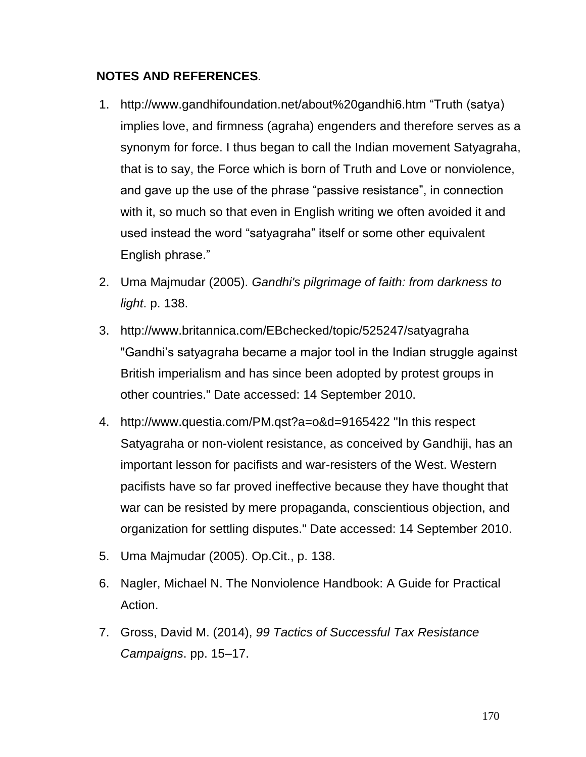# **NOTES AND REFERENCES***.*

- 1. <http://www.gandhifoundation.net/about%20gandhi6.htm> "Truth (satya) implies love, and firmness (agraha) engenders and therefore serves as a synonym for force. I thus began to call the Indian movement Satyagraha, that is to say, the Force which is born of Truth and Love or nonviolence, and gave up the use of the phrase "passive resistance", in connection with it, so much so that even in English writing we often avoided it and used instead the word "satyagraha" itself or some other equivalent English phrase."
- 2. Uma Majmudar (2005). *[Gandhi's pilgrimage of faith: from darkness to](http://books.google.com/books?id=xM4paHEq5oQC&pg=PA138)  [light](http://books.google.com/books?id=xM4paHEq5oQC&pg=PA138)*. p. 138.
- 3. <http://www.britannica.com/EBchecked/topic/525247/satyagraha> "Gandhi"s satyagraha became a major tool in the Indian struggle against British imperialism and has since been adopted by protest groups in other countries." Date accessed: 14 September 2010.
- 4. <http://www.questia.com/PM.qst?a=o&d=9165422> "In this respect Satyagraha or non-violent resistance, as conceived by Gandhiji, has an important lesson for pacifists and war-resisters of the West. Western pacifists have so far proved ineffective because they have thought that war can be resisted by mere propaganda, conscientious objection, and organization for settling disputes." Date accessed: 14 September 2010.
- 5. Uma Majmudar (2005). Op.Cit., p. 138.
- 6. Nagler, Michael N. The Nonviolence Handbook: A Guide for Practical Action.
- 7. Gross, David M. (2014), *99 Tactics of Successful Tax Resistance Campaigns*. pp. 15–17.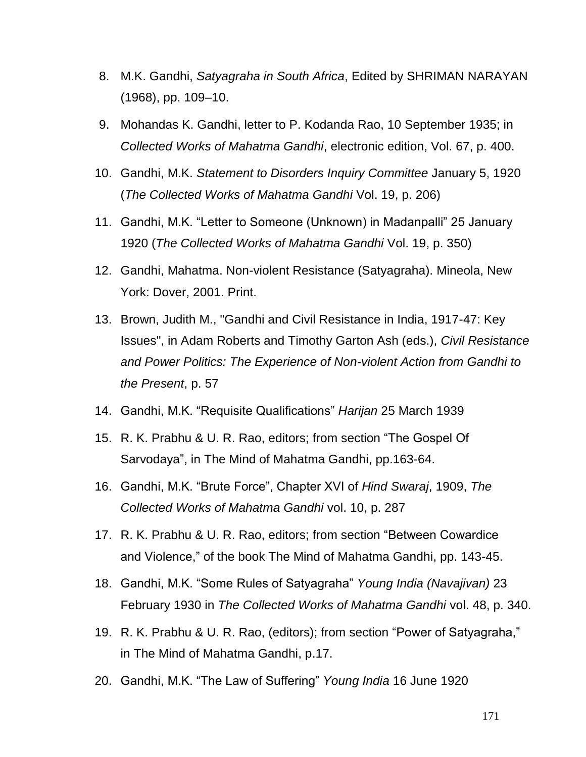- 8. M.K. Gandhi, *Satyagraha in South Africa*, Edited by SHRIMAN NARAYAN (1968), pp. 109–10.
- 9. [Mohandas K. Gandhi,](http://en.wikipedia.org/wiki/Mohandas_K._Gandhi) letter to P. Kodanda Rao, 10 September 1935; in *Collected Works of Mahatma Gandhi*, electronic edition, Vol. 67, p. 400.
- 10. Gandhi, M.K. *Statement to Disorders Inquiry Committee* January 5, 1920 (*The Collected Works of Mahatma Gandhi* Vol. 19, p. 206)
- 11. Gandhi, M.K. "Letter to Someone (Unknown) in Madanpalli" 25 January 1920 (*The Collected Works of Mahatma Gandhi* Vol. 19, p. 350)
- 12. Gandhi, Mahatma. Non-violent Resistance (Satyagraha). Mineola, New York: Dover, 2001. Print.
- 13. Brown, Judith M., "Gandhi and Civil Resistance in India, 1917-47: Key Issues", in Adam Roberts and Timothy Garton Ash (eds.), *Civil Resistance and Power Politics: The Experience of Non-violent Action from Gandhi to the Present*, [p. 57](http://books.google.com/books?id=BxOQKrCe7UUC&dq=Civil+resistance+and+power+politics&source=gbs_navlinks_s)
- 14. Gandhi, M.K. "Requisite Qualifications" *Harijan* 25 March 1939
- 15. R. K. Prabhu & U. R. Rao, editors; from section ["The Gospel Of](http://www.mkgandhi.org/momgandhi/chap45.htm)  [Sarvodaya"](http://www.mkgandhi.org/momgandhi/chap45.htm), in [The Mind of Mahatma Gandhi,](http://www.mkgandhi.org/momgandhi/momindex.htm) pp.163-64.
- 16. Gandhi, M.K. "Brute Force", Chapter XVI of *Hind Swaraj*, 1909, *The Collected Works of Mahatma Gandhi* vol. 10, p. 287
- 17. R. K. Prabhu & U. R. Rao, editors; from section ["Between Cowardice](http://www.mkgandhi.org/momgandhi/chap28.htm)  [and Violence,"](http://www.mkgandhi.org/momgandhi/chap28.htm) of the book [The Mind of Mahatma Gandhi,](http://www.mkgandhi.org/momgandhi/momindex.htm) pp. 143-45.
- 18. Gandhi, M.K. "Some Rules of Satyagraha" *Young India (Navajivan)* 23 February 1930 in *The Collected Works of Mahatma Gandhi* vol. 48, p. 340.
- 19. R. K. Prabhu & U. R. Rao, (editors); from section ["Power of Satyagraha,"](http://www.mkgandhi.org/momgandhi/chap34.htm) in [The Mind of Mahatma Gandhi,](http://www.mkgandhi.org/momgandhi/momindex.htm) p.17.
- 20. Gandhi, M.K. "The Law of Suffering" *Young India* 16 June 1920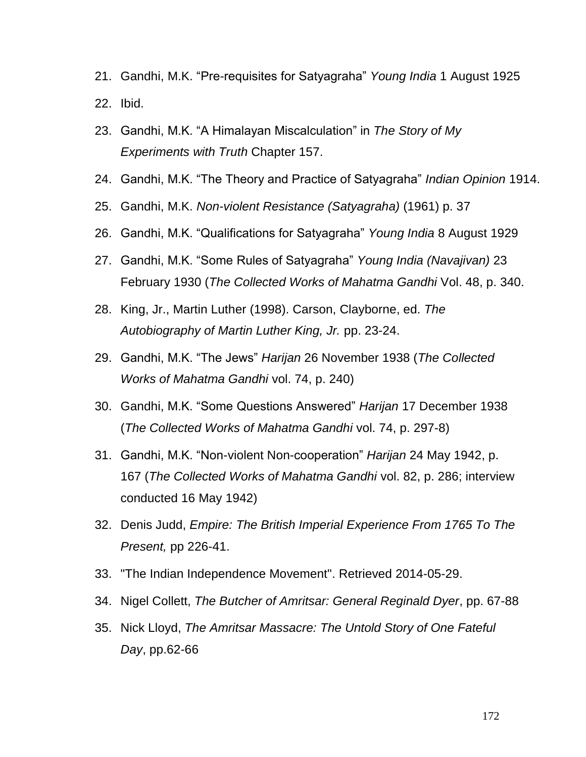- 21. Gandhi, M.K. "Pre-requisites for Satyagraha" *Young India* 1 August 1925 22. Ibid.
- 23. Gandhi, M.K. "A Himalayan Miscalculation" in *The Story of My Experiments with Truth* Chapter 157.
- 24. Gandhi, M.K. "The Theory and Practice of Satyagraha" *Indian Opinion* 1914.
- 25. Gandhi, M.K. *Non-violent Resistance (Satyagraha)* (1961) p. 37
- 26. Gandhi, M.K. "Qualifications for Satyagraha" *Young India* 8 August 1929
- 27. Gandhi, M.K. "Some Rules of Satyagraha" *Young India (Navajivan)* 23 February 1930 (*The Collected Works of Mahatma Gandhi* Vol. 48, p. 340.
- 28. [King, Jr., Martin Luther](http://en.wikipedia.org/wiki/Martin_Luther_King,_Jr.) (1998). Carson, Clayborne, ed. *[The](http://en.wikipedia.org/w/index.php?title=The_Autobiography_of_Martin_Luther_King,_Jr.&action=edit&redlink=1)  [Autobiography of Martin Luther King, Jr.](http://en.wikipedia.org/w/index.php?title=The_Autobiography_of_Martin_Luther_King,_Jr.&action=edit&redlink=1)* pp. 23-24.
- 29. Gandhi, M.K. "The Jews" *Harijan* 26 November 1938 (*The Collected Works of Mahatma Gandhi* vol. 74, p. 240)
- 30. Gandhi, M.K. "Some Questions Answered" *Harijan* 17 December 1938 (*The Collected Works of Mahatma Gandhi* vol. 74, p. 297-8)
- 31. Gandhi, M.K. "Non-violent Non-cooperation" *Harijan* 24 May 1942, p. 167 (*The Collected Works of Mahatma Gandhi* vol. 82, p. 286; interview conducted 16 May 1942)
- 32. Denis Judd, *Empire: The British Imperial Experience From 1765 To The Present,* pp 226-41.
- 33. ["The Indian Independence Movement".](http://www.tcnj.edu/) Retrieved 2014-05-29.
- 34. Nigel Collett, *The Butcher of Amritsar: General Reginald Dyer*, pp. 67-88
- 35. Nick Lloyd, *The Amritsar Massacre: The Untold Story of One Fateful Day*, pp.62-66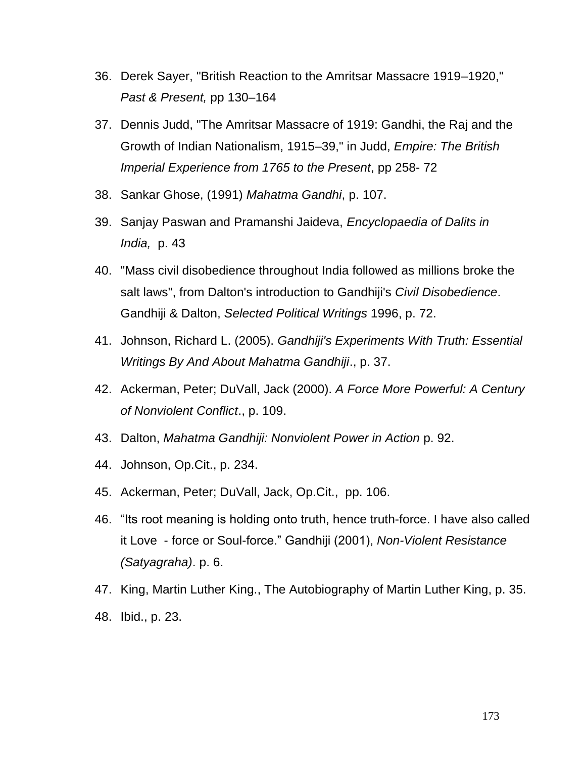- 36. Derek Sayer, "British Reaction to the Amritsar Massacre 1919–1920," *Past & Present,* pp 130–164
- 37. Dennis Judd, "The Amritsar Massacre of 1919: Gandhi, the Raj and the Growth of Indian Nationalism, 1915–39," in Judd, *Empire: The British Imperial Experience from 1765 to the Present*, pp 258- 72
- 38. Sankar Ghose, (1991) *Mahatma Gandhi*, p. 107.
- 39. Sanjay Paswan and Pramanshi Jaideva, *Encyclopaedia of Dalits in India,* p. 43
- 40. "Mass civil disobedience throughout India followed as millions broke the salt laws", from Dalton's introduction to Gandhiji's *Civil Disobedience*. Gandhiji & Dalton, *Selected Political Writings* 1996, p. 72.
- 41. Johnson, Richard L. (2005). *Gandhiji's Experiments With Truth: Essential Writings By And About Mahatma Gandhiji*., p. 37.
- 42. [Ackerman, Peter;](http://en.wikipedia.org/wiki/Peter_Ackerman) DuVall, Jack (2000). *A Force More Powerful: A Century of Nonviolent Conflict*., p. 109.
- 43. Dalton, *Mahatma Gandhiji: Nonviolent Power in Action* p. 92.
- 44. Johnson, Op.Cit., p. 234.
- 45. [Ackerman, Peter;](http://en.wikipedia.org/wiki/Peter_Ackerman) DuVall, Jack, Op.Cit., pp. 106.
- 46. "Its root meaning is holding onto truth, hence truth-force. I have also called it Love - force or Soul-force." Gandhiji (2001), *Non-Violent Resistance (Satyagraha)*. p. 6.
- 47. King, Martin Luther King., The Autobiography of Martin Luther King, p. 35. 48. Ibid., p. 23.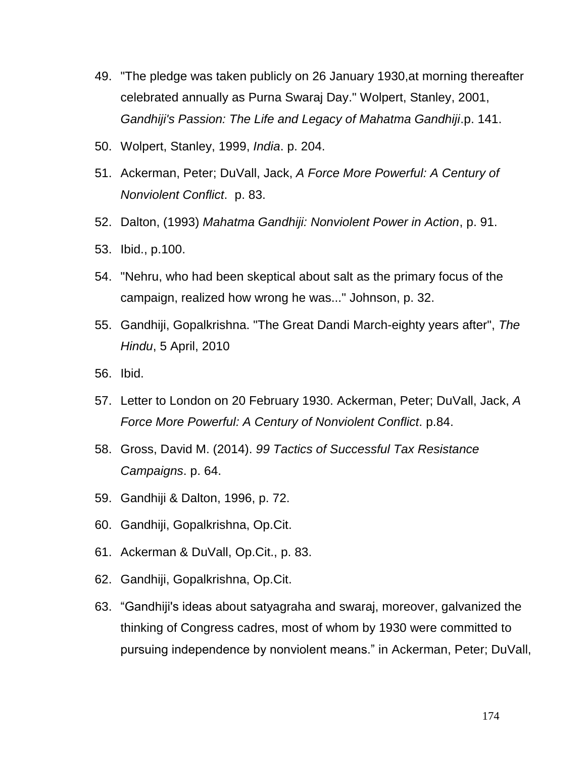- 49. "The pledge was taken publicly on 26 January 1930,at morning thereafter celebrated annually as Purna Swaraj Day." Wolpert, Stanley, 2001, *Gandhiji's Passion: The Life and Legacy of Mahatma Gandhiji*.p. 141.
- 50. Wolpert, Stanley, 1999, *India*. p. 204.
- 51. [Ackerman, Peter;](http://en.wikipedia.org/wiki/Peter_Ackerman) DuVall, Jack, *A Force More Powerful: A Century of Nonviolent Conflict*. p. 83.
- 52. Dalton, (1993) *Mahatma Gandhiji: Nonviolent Power in Action*, p. 91.
- 53. Ibid., p.100.
- 54. "Nehru, who had been skeptical about salt as the primary focus of the campaign, realized how wrong he was..." Johnson, p. 32.
- 55. Gandhiji, Gopalkrishna. ["The Great Dandi March-eighty years after",](http://www.thehindu.com/opinion/op-ed/article388858.ece) *[The](http://en.wikipedia.org/wiki/The_Hindu)  [Hindu](http://en.wikipedia.org/wiki/The_Hindu)*, 5 April, 2010
- 56. Ibid.
- 57. Letter to London on 20 February 1930. [Ackerman, Peter;](http://en.wikipedia.org/wiki/Peter_Ackerman) DuVall, Jack, *A Force More Powerful: A Century of Nonviolent Conflict*. p.84.
- 58. Gross, David M. (2014). *99 Tactics of Successful Tax Resistance Campaigns*. p. 64.
- 59. Gandhiji & Dalton, 1996, p. 72.
- 60. Gandhiji, Gopalkrishna, Op.Cit.
- 61. Ackerman & DuVall, Op.Cit., p. 83.
- 62. Gandhiji, Gopalkrishna, Op.Cit.
- 63. "Gandhiji's ideas about satyagraha and swaraj, moreover, galvanized the thinking of Congress cadres, most of whom by 1930 were committed to pursuing independence by nonviolent means." in [Ackerman, Peter;](http://en.wikipedia.org/wiki/Peter_Ackerman) DuVall,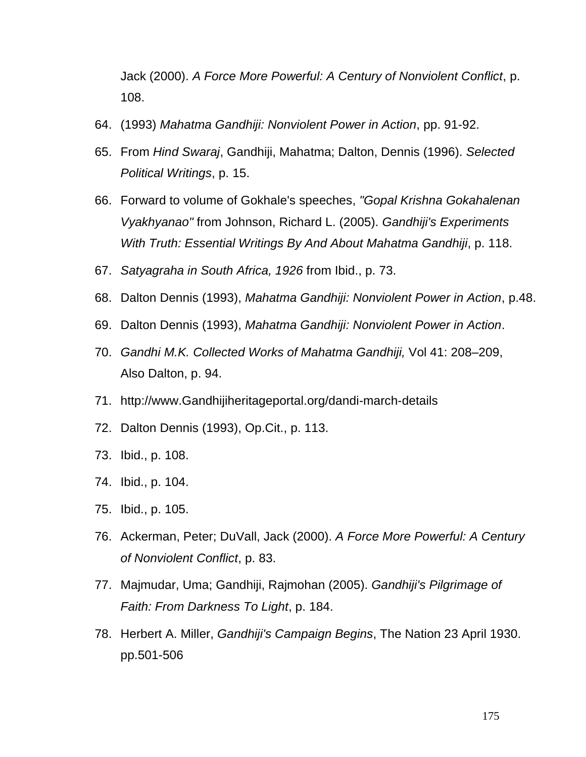Jack (2000). *A Force More Powerful: A Century of Nonviolent Conflict*, p. 108.

- 64. (1993) *Mahatma Gandhiji: Nonviolent Power in Action*, pp. 91-92.
- 65. From *Hind Swaraj*, Gandhiji, Mahatma; [Dalton, Dennis](http://en.wikipedia.org/wiki/Dennis_Dalton) (1996). *Selected Political Writings*, p. 15.
- 66. Forward to volume of Gokhale's speeches, *"Gopal Krishna Gokahalenan Vyakhyanao"* from Johnson, Richard L. (2005). *Gandhiji's Experiments With Truth: Essential Writings By And About Mahatma Gandhiji*, p. 118.
- 67. *Satyagraha in South Africa, 1926* from Ibid., p. 73.
- 68. Dalton Dennis (1993), *Mahatma Gandhiji: Nonviolent Power in Action*, p.48.
- 69. Dalton Dennis (1993), *Mahatma Gandhiji: Nonviolent Power in Action*.
- 70. *Gandhi M.K. Collected Works of Mahatma Gandhiji,* Vol 41: 208–209, Also Dalton, p. 94.
- 71. [http://www.Gandhijiheritageportal.org/dandi-march-details](http://www.gandhiheritageportal.org/dandi-march-details)
- 72. Dalton Dennis (1993), Op.Cit., p. 113.
- 73. Ibid., p. 108.
- 74. Ibid., p. 104.
- 75. Ibid., p. 105.
- 76. [Ackerman, Peter;](http://en.wikipedia.org/wiki/Peter_Ackerman) DuVall, Jack (2000). *A Force More Powerful: A Century of Nonviolent Conflict*, p. 83.
- 77. Majmudar, Uma; [Gandhiji, Rajmohan](http://en.wikipedia.org/wiki/Rajmohan_Gandhi) (2005). *Gandhiji's Pilgrimage of Faith: From Darkness To Light*, p. 184.
- 78. Herbert A. Miller, *Gandhiji's Campaign Begins*, The Nation 23 April 1930. pp.501-506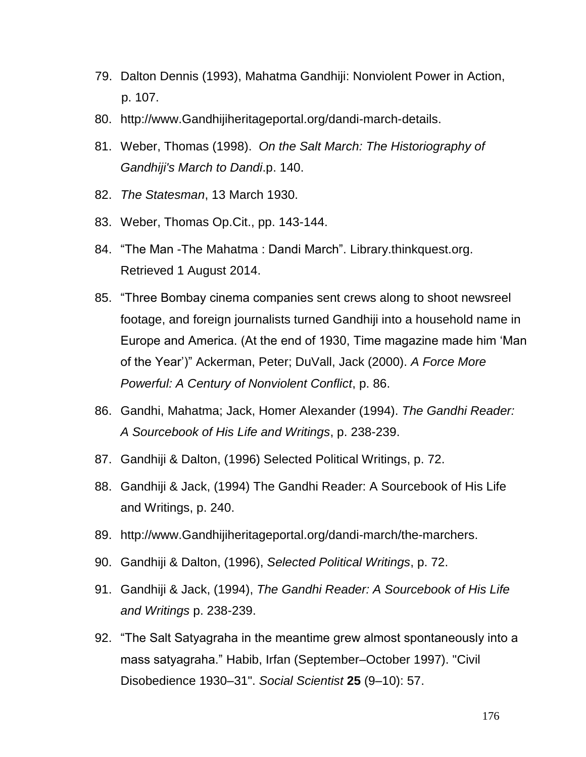- 79. Dalton Dennis (1993), Mahatma Gandhiji: Nonviolent Power in Action, p. 107.
- 80. [http://www.Gandhijiheritageportal.org/dandi-march-details.](http://www.gandhiheritageportal.org/dandi-march-details)
- 81. Weber, Thomas (1998). *On the Salt March: The Historiography of Gandhiji's March to Dandi*.p. 140.
- 82. *The Statesman*, 13 March 1930.
- 83. Weber, Thomas Op.Cit., pp. 143-144[.](http://library.thinkquest.org/26523/mainfiles/dandi.htm)
- 84. ["The Man -The Mahatma](http://library.thinkquest.org/26523/mainfiles/dandi.htm) : Dandi March". Library.thinkquest.org. Retrieved 1 August 2014.
- 85. "Three Bombay cinema companies sent crews along to shoot newsreel footage, and foreign journalists turned Gandhiji into a household name in Europe and America. (At the end of 1930, Time magazine made him "Man of the Year")" [Ackerman, Peter;](http://en.wikipedia.org/wiki/Peter_Ackerman) DuVall, Jack (2000). *A Force More Powerful: A Century of Nonviolent Conflict*, p. 86.
- 86. [Gandhi, Mahatma;](http://en.wikipedia.org/wiki/Mohandas_Karamchand_Gandhi) Jack, Homer Alexander (1994). *The Gandhi Reader: A Sourcebook of His Life and Writings*, p. 238-239.
- 87. Gandhiji & Dalton, (1996) Selected Political Writings, p. 72.
- 88. Gandhiji & Jack, (1994) The Gandhi Reader: A Sourcebook of His Life and Writings, p. 240.
- 89. [http://www.Gandhijiheritageportal.org/dandi-march/the-marchers.](http://www.gandhiheritageportal.org/dandi-march/the-marchers)
- 90. Gandhiji & Dalton, (1996), *Selected Political Writings*, p. 72.
- 91. Gandhiji & Jack, (1994), *The Gandhi Reader: A Sourcebook of His Life and Writings* p. 238-239.
- 92. "The Salt Satyagraha in the meantime grew almost spontaneously into a mass satyagraha." [Habib, Irfan](http://en.wikipedia.org/wiki/Irfan_Habib) (September–October 1997). "Civil Disobedience 1930–31". *Social Scientist* **25** (9–10): 57.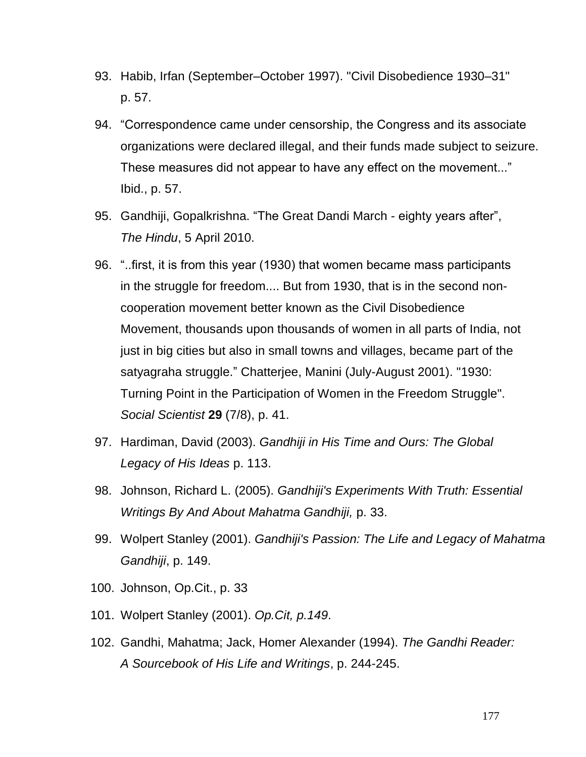- 93. [Habib, Irfan](http://en.wikipedia.org/wiki/Irfan_Habib) (September–October 1997). "Civil Disobedience 1930–31" p. 57.
- 94. "Correspondence came under censorship, the Congress and its associate organizations were declared illegal, and their funds made subject to seizure. These measures did not appear to have any effect on the movement..." Ibid., p. 57.
- 95. Gandhiji, Gopalkrishna. "The [Great Dandi March -](http://www.thehindu.com/opinion/op-ed/article388858.ece) eighty years after", *[The Hindu](http://en.wikipedia.org/wiki/The_Hindu)*, 5 April 2010.
- 96. "..first, it is from this year (1930) that women became mass participants in the struggle for freedom.... But from 1930, that is in the second noncooperation movement better known as the Civil Disobedience Movement, thousands upon thousands of women in all parts of India, not just in big cities but also in small towns and villages, became part of the satyagraha struggle." Chatterjee, Manini (July-August 2001). "1930: Turning Point in the Participation of Women in the Freedom Struggle". *Social Scientist* **29** (7/8), p. 41.
- 97. Hardiman, David (2003). *Gandhiji in His Time and Ours: The Global Legacy of His Ideas* p. 113.
- 98. Johnson, Richard L. (2005). *Gandhiji's Experiments With Truth: Essential Writings By And About Mahatma Gandhiji,* p. 33.
- 99. Wolpert Stanley (2001). *Gandhiji's Passion: The Life and Legacy of Mahatma Gandhiji*, p. 149.
- 100. Johnson, Op.Cit., p. 33
- 101. Wolpert Stanley (2001). *Op.Cit, p.149*.
- 102. [Gandhi, Mahatma;](http://en.wikipedia.org/wiki/Mohandas_Karamchand_Gandhi) Jack, Homer Alexander (1994). *The Gandhi Reader: A Sourcebook of His Life and Writings*, p. 244-245.